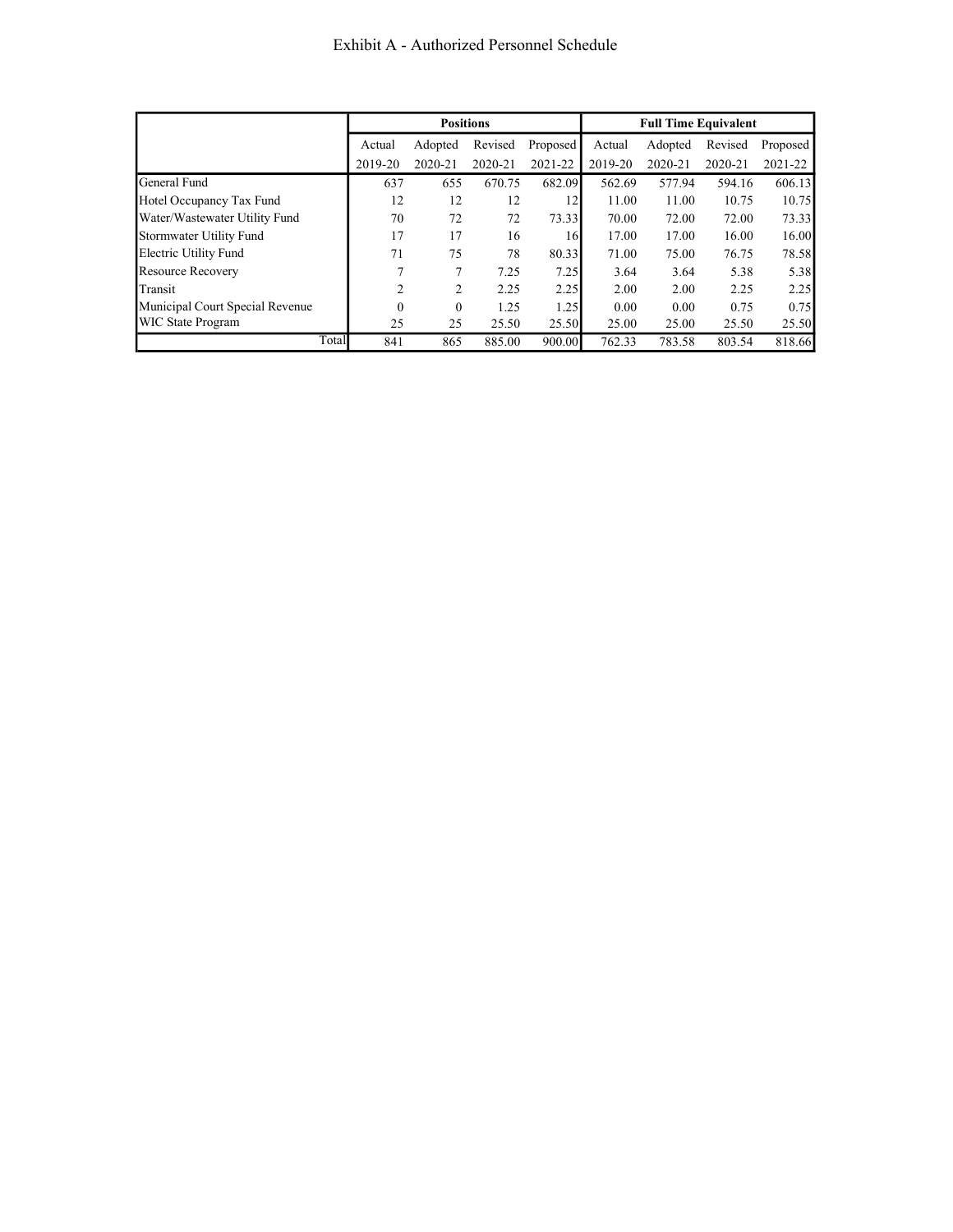|                                 |          | <b>Positions</b> |         |          |         | <b>Full Time Equivalent</b> |         |          |
|---------------------------------|----------|------------------|---------|----------|---------|-----------------------------|---------|----------|
|                                 | Actual   | Adopted          | Revised | Proposed | Actual  | Adopted                     | Revised | Proposed |
|                                 | 2019-20  | 2020-21          | 2020-21 | 2021-22  | 2019-20 | 2020-21                     | 2020-21 | 2021-22  |
| General Fund                    | 637      | 655              | 670.75  | 682.09   | 562.69  | 577.94                      | 594.16  | 606.13   |
| Hotel Occupancy Tax Fund        | 12       | 12               | 12      | 12       | 11.00   | 11.00                       | 10.75   | 10.75    |
| Water/Wastewater Utility Fund   | 70       | 72               | 72      | 73.33    | 70.00   | 72.00                       | 72.00   | 73.33    |
| Stormwater Utility Fund         | 17       | 17               | 16      | 16       | 17.00   | 17.00                       | 16.00   | 16.00    |
| Electric Utility Fund           | 71       | 75               | 78      | 80.33    | 71.00   | 75.00                       | 76.75   | 78.58    |
| <b>Resource Recovery</b>        |          | 7                | 7.25    | 7.25     | 3.64    | 3.64                        | 5.38    | 5.38     |
| Transit                         | 2        | 2                | 2.25    | 2.25     | 2.00    | 2.00                        | 2.25    | 2.25     |
| Municipal Court Special Revenue | $\Omega$ | $\boldsymbol{0}$ | 1.25    | 1.25     | 0.00    | 0.00                        | 0.75    | 0.75     |
| <b>WIC State Program</b>        | 25       | 25               | 25.50   | 25.50    | 25.00   | 25.00                       | 25.50   | 25.50    |
| Total                           | 841      | 865              | 885.00  | 900.00   | 762.33  | 783.58                      | 803.54  | 818.66   |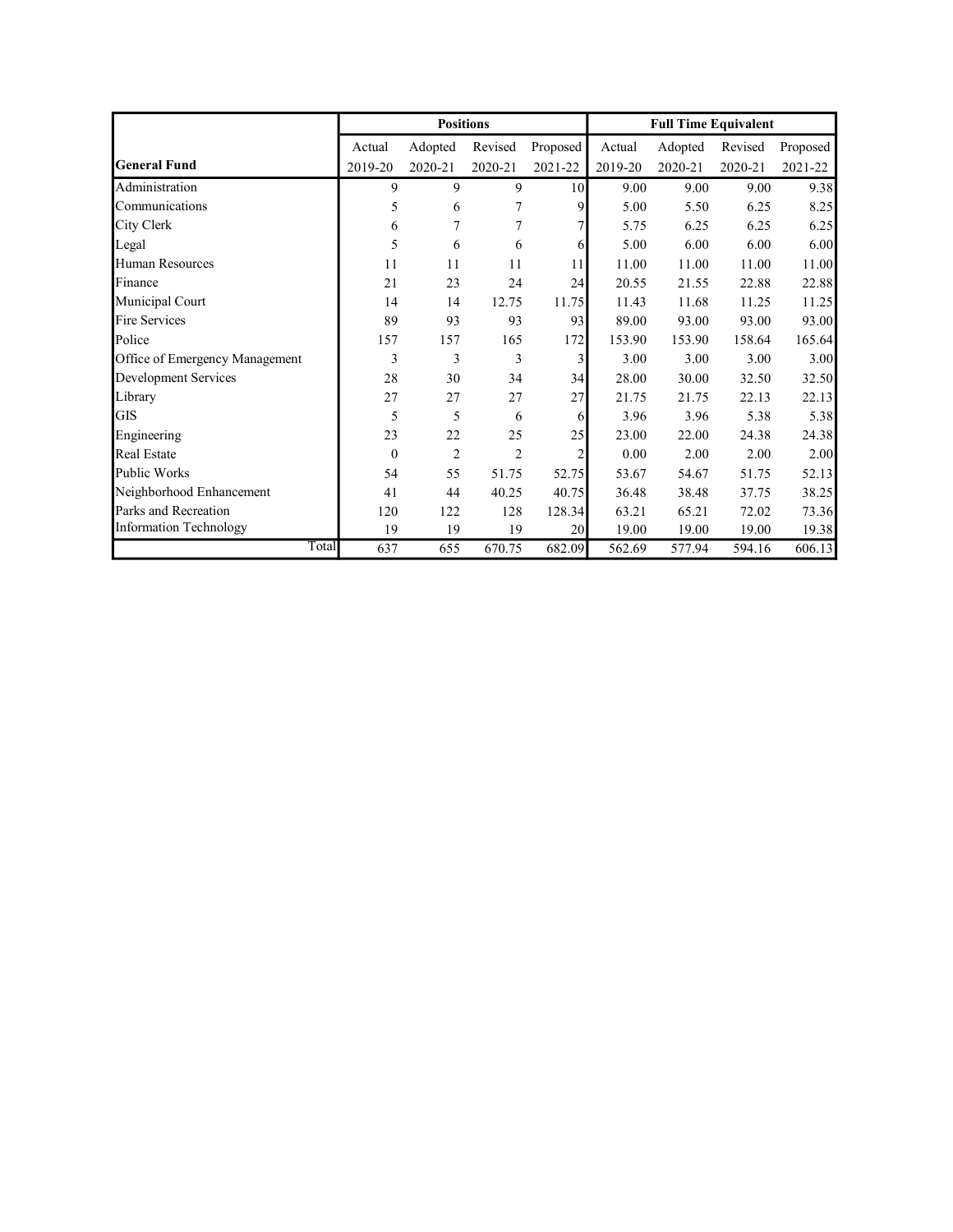|                                |              | <b>Positions</b> |                |                |         | <b>Full Time Equivalent</b> |         |          |
|--------------------------------|--------------|------------------|----------------|----------------|---------|-----------------------------|---------|----------|
|                                | Actual       | Adopted          | Revised        | Proposed       | Actual  | Adopted                     | Revised | Proposed |
| <b>General Fund</b>            | 2019-20      | 2020-21          | 2020-21        | 2021-22        | 2019-20 | 2020-21                     | 2020-21 | 2021-22  |
| Administration                 | 9            | 9                | 9              | 10             | 9.00    | 9.00                        | 9.00    | 9.38     |
| Communications                 | 5            | 6                | 7              | $\overline{9}$ | 5.00    | 5.50                        | 6.25    | 8.25     |
| City Clerk                     | 6            | 7                | 7              |                | 5.75    | 6.25                        | 6.25    | 6.25     |
| Legal                          | 5            | 6                | 6              | 6              | 5.00    | 6.00                        | 6.00    | 6.00     |
| <b>Human Resources</b>         | 11           | 11               | 11             | 11             | 11.00   | 11.00                       | 11.00   | 11.00    |
| Finance                        | 21           | 23               | 24             | 24             | 20.55   | 21.55                       | 22.88   | 22.88    |
| Municipal Court                | 14           | 14               | 12.75          | 11.75          | 11.43   | 11.68                       | 11.25   | 11.25    |
| <b>Fire Services</b>           | 89           | 93               | 93             | 93             | 89.00   | 93.00                       | 93.00   | 93.00    |
| Police                         | 157          | 157              | 165            | 172            | 153.90  | 153.90                      | 158.64  | 165.64   |
| Office of Emergency Management | 3            | 3                | 3              | $\overline{3}$ | 3.00    | 3.00                        | 3.00    | 3.00     |
| Development Services           | 28           | 30               | 34             | 34             | 28.00   | 30.00                       | 32.50   | 32.50    |
| Library                        | 27           | 27               | 27             | 27             | 21.75   | 21.75                       | 22.13   | 22.13    |
| <b>GIS</b>                     | 5            | 5                | 6              | 6              | 3.96    | 3.96                        | 5.38    | 5.38     |
| Engineering                    | 23           | 22               | 25             | 25             | 23.00   | 22.00                       | 24.38   | 24.38    |
| Real Estate                    | $\mathbf{0}$ | $\overline{2}$   | $\overline{2}$ | $\overline{2}$ | 0.00    | 2.00                        | 2.00    | 2.00     |
| Public Works                   | 54           | 55               | 51.75          | 52.75          | 53.67   | 54.67                       | 51.75   | 52.13    |
| Neighborhood Enhancement       | 41           | 44               | 40.25          | 40.75          | 36.48   | 38.48                       | 37.75   | 38.25    |
| Parks and Recreation           | 120          | 122              | 128            | 128.34         | 63.21   | 65.21                       | 72.02   | 73.36    |
| Information Technology         | 19           | 19               | 19             | 20             | 19.00   | 19.00                       | 19.00   | 19.38    |
| Total                          | 637          | 655              | 670.75         | 682.09         | 562.69  | 577.94                      | 594.16  | 606.13   |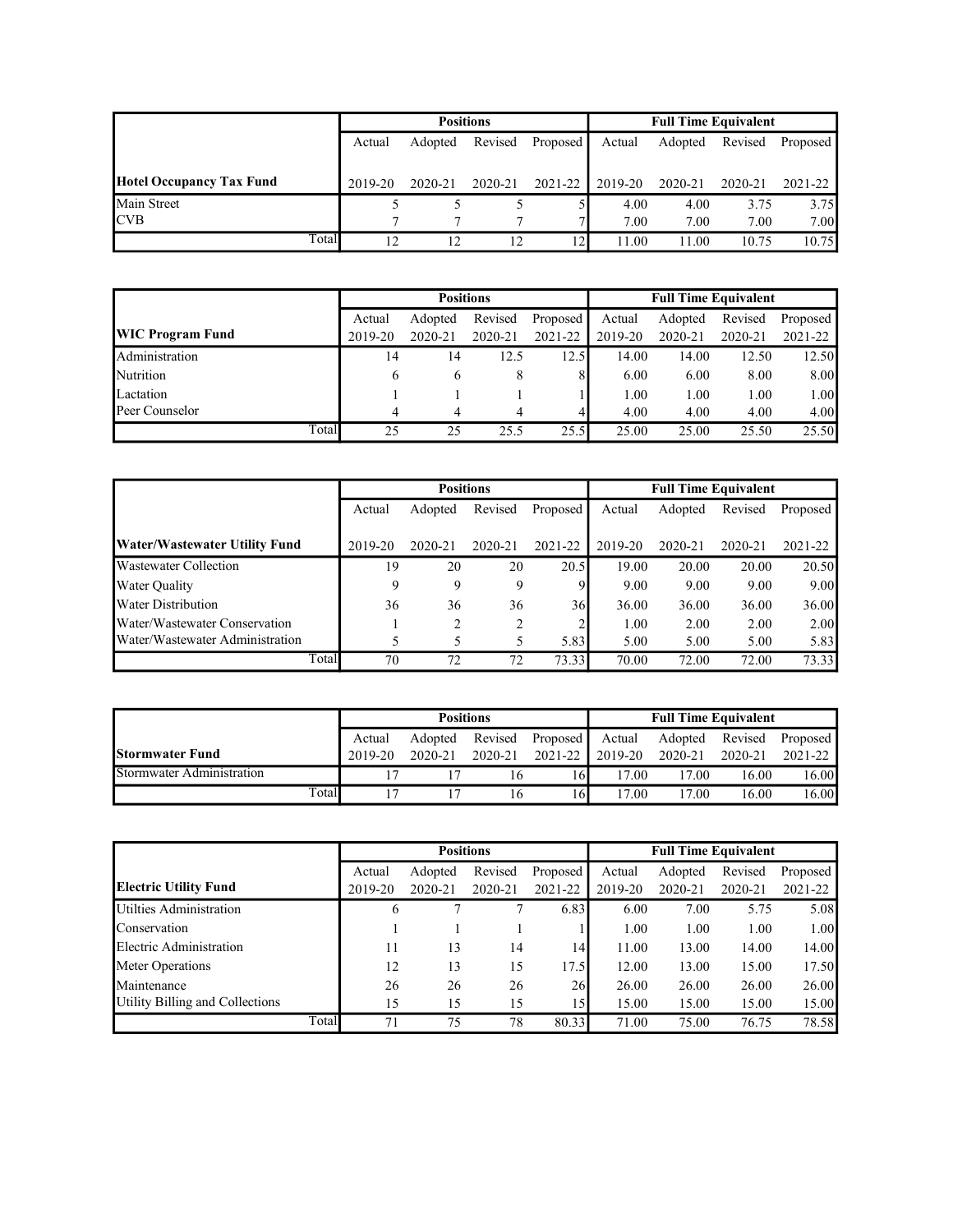|                                 |         | <b>Positions</b> |         |              | <b>Full Time Equivalent</b> |         |             |          |  |
|---------------------------------|---------|------------------|---------|--------------|-----------------------------|---------|-------------|----------|--|
|                                 | Actual  | Adopted          | Revised | Proposed P   | Actual                      | Adopted | Revised     | Proposed |  |
|                                 |         |                  |         |              |                             |         |             |          |  |
| <b>Hotel Occupancy Tax Fund</b> | 2019-20 | 2020-21          | 2020-21 | 2021-22      | 2019-20                     | 2020-21 | $2020 - 21$ | 2021-22  |  |
| Main Street                     |         |                  |         |              | 4.00                        | 4.00    | 3.75        | 3.75     |  |
| <b>CVB</b>                      |         |                  |         |              | 7.00                        | 7.00    | 7.00        | 7.00     |  |
| Total                           | 12      | 12               | 12      | $12^{\circ}$ | 11.00                       | 11.00   | 10.75       | 10.75    |  |

|                         |              | <b>Positions</b> |         |          | <b>Full Time Equivalent</b> |         |             |          |  |
|-------------------------|--------------|------------------|---------|----------|-----------------------------|---------|-------------|----------|--|
|                         | Actual       | Adopted          | Revised | Proposed | Actual                      | Adopted | Revised     | Proposed |  |
| <b>WIC Program Fund</b> | 2019-20      | 2020-21          | 2020-21 | 2021-22  | 2019-20                     | 2020-21 | $2020 - 21$ | 2021-22  |  |
| Administration          | 14           | 14               | 12.5    | 12.5I    | 14.00                       | 14.00   | 12.50       | 12.50    |  |
| Nutrition               | <sub>(</sub> | b                | 8       | 81       | 6.00                        | 6.00    | 8.00        | 8.00     |  |
| Lactation               |              |                  |         |          | 1.00                        | 1.00    | 1.00        | 1.00     |  |
| Peer Counselor          |              | 4                |         |          | 4.00                        | 4.00    | 4.00        | 4.00     |  |
| Total                   | 25           | 25               | 25.5    | 25.5     | 25.00                       | 25.00   | 25.50       | 25.50    |  |

|                                 |         | <b>Positions</b> |             |          |         | <b>Full Time Equivalent</b> |         |          |
|---------------------------------|---------|------------------|-------------|----------|---------|-----------------------------|---------|----------|
|                                 | Actual  | Adopted          | Revised     | Proposed | Actual  | Adopted                     | Revised | Proposed |
| Water/Wastewater Utility Fund   | 2019-20 | 2020-21          | $2020 - 21$ | 2021-22  | 2019-20 | 2020-21                     | 2020-21 | 2021-22  |
| <b>Wastewater Collection</b>    | 19      | 20               | 20          | 20.5     | 19.00   | 20.00                       | 20.00   | 20.50    |
| <b>Water Quality</b>            | 9       | 9                | 9           | 91       | 9.00    | 9.00                        | 9.00    | 9.00     |
| <b>Water Distribution</b>       | 36      | 36               | 36          | 36       | 36.00   | 36.00                       | 36.00   | 36.00    |
| Water/Wastewater Conservation   |         |                  | 2           |          | 1.00    | 2.00                        | 2.00    | 2.00     |
| Water/Wastewater Administration |         | 5                |             | 5.83     | 5.00    | 5.00                        | 5.00    | 5.83     |
| Total                           | 70      | 72               | 72          | 73.33    | 70.00   | 72.00                       | 72.00   | 73.33    |

|                           |       |         | <b>Positions</b> |         |                 | <b>Full Time Equivalent</b> |                          |         |         |  |
|---------------------------|-------|---------|------------------|---------|-----------------|-----------------------------|--------------------------|---------|---------|--|
|                           |       | Actual  | Adopted Revised  |         | Proposed Actual |                             | Adopted Revised Proposed |         |         |  |
| <b>Stormwater Fund</b>    |       | 2019-20 | 2020-21          | 2020-21 | 2021-22 2019-20 |                             | 2020-21                  | 2020-21 | 2021-22 |  |
| Stormwater Administration |       |         |                  | 16      | 16              | 17.00                       | 17.00                    | 16.00   | 16.00   |  |
|                           | Total |         |                  |         | 16              | 17.00                       | 17.00                    | 16.00   | 16.00   |  |

|                                 |         | <b>Positions</b> |             |          | <b>Full Time Equivalent</b> |         |         |          |  |
|---------------------------------|---------|------------------|-------------|----------|-----------------------------|---------|---------|----------|--|
|                                 | Actual  | Adopted          | Revised     | Proposed | Actual                      | Adopted | Revised | Proposed |  |
| <b>Electric Utility Fund</b>    | 2019-20 | 2020-21          | $2020 - 21$ | 2021-22  | 2019-20                     | 2020-21 | 2020-21 | 2021-22  |  |
| Utilties Administration         | 6       |                  |             | 6.83     | 6.00                        | 7.00    | 5.75    | 5.08     |  |
| Conservation                    |         |                  |             |          | 1.00                        | 1.00    | 1.00    | 1.00     |  |
| Electric Administration         | 11      | 13               | 14          | 14       | 11.00                       | 13.00   | 14.00   | 14.00    |  |
| Meter Operations                | 12      | 13               | 15          | 17.5     | 12.00                       | 13.00   | 15.00   | 17.50    |  |
| Maintenance                     | 26      | 26               | 26          | 26       | 26.00                       | 26.00   | 26.00   | 26.00    |  |
| Utility Billing and Collections | 15      | 15               | 15          | 15       | 15.00                       | 15.00   | 15.00   | 15.00    |  |
| Total                           | 71      | 75               | 78          | 80.33    | 71.00                       | 75.00   | 76.75   | 78.58    |  |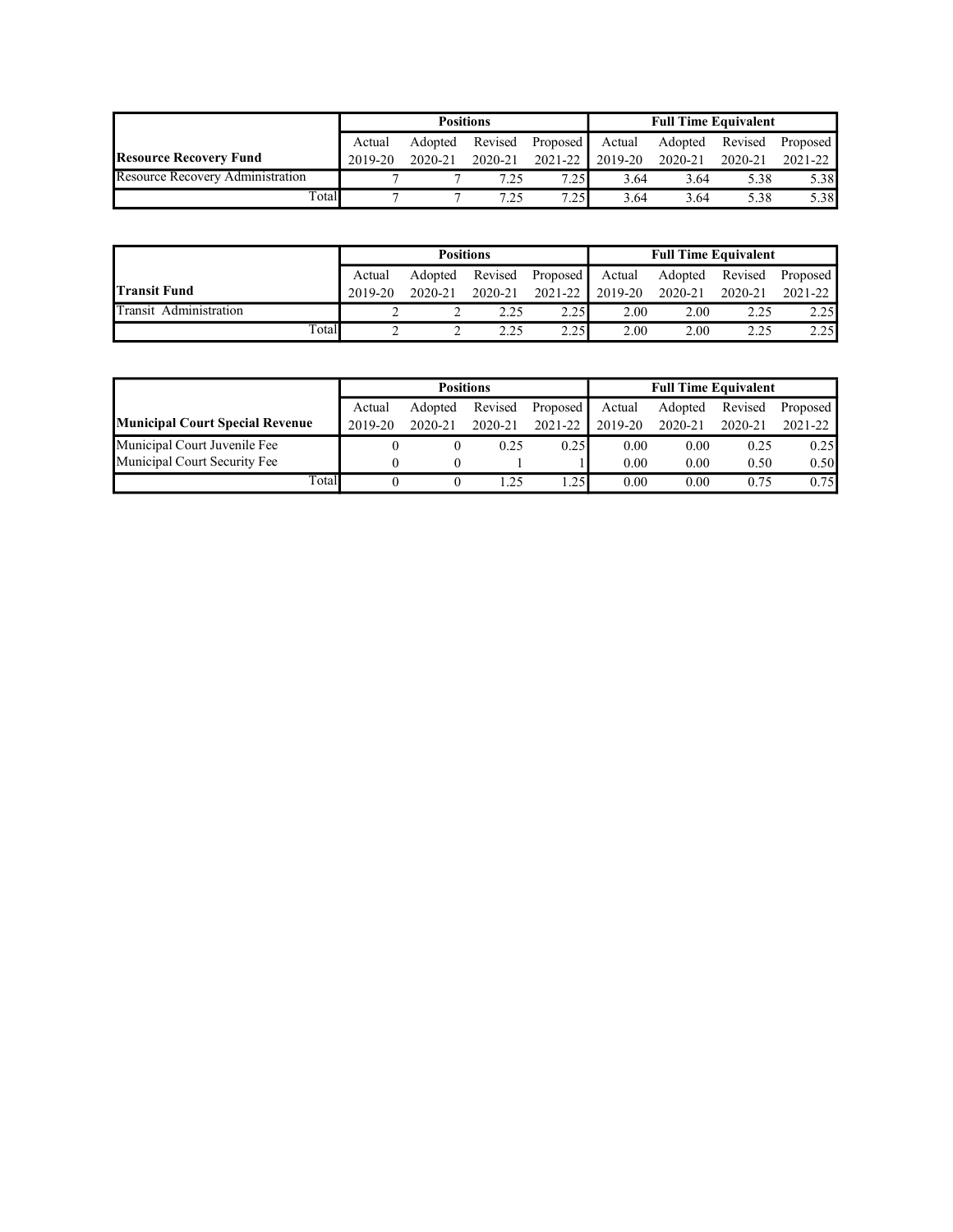|                                         |                                                 | <b>Positions</b> |         |             | <b>Full Time Equivalent</b> |                          |         |             |  |
|-----------------------------------------|-------------------------------------------------|------------------|---------|-------------|-----------------------------|--------------------------|---------|-------------|--|
|                                         | Revised<br><b>Proposed</b><br>Adopted<br>Actual |                  |         |             | Actual                      | Adopted Revised Proposed |         |             |  |
| <b>Resource Recovery Fund</b>           | 2019-20                                         | 2020-21          | 2020-21 | $2021 - 22$ | 2019-20                     | 2020-21                  | 2020-21 | $2021 - 22$ |  |
| <b>Resource Recovery Administration</b> |                                                 |                  | 7.25    | 7.25        | 3.64                        | 3.64                     | 5.38    | 5.38        |  |
| Total                                   |                                                 |                  | 7.25    | 7.25        | 3.64                        | 3.64                     | 5.38    | 5.38        |  |

|                        |                                          | <b>Positions</b> |         |             | <b>Full Time Equivalent</b> |         |         |          |  |
|------------------------|------------------------------------------|------------------|---------|-------------|-----------------------------|---------|---------|----------|--|
|                        | Revised<br>Proposed<br>Adopted<br>Actual |                  |         |             | Actual                      | Adopted | Revised | Proposed |  |
| <b>Transit Fund</b>    | 2019-20                                  | 2020-21          | 2020-21 | $2021 - 22$ | 2019-20                     | 2020-21 | 2020-21 | 2021-22  |  |
| Transit Administration |                                          |                  | 2.25    | 2.25        | 2.00                        | 2.00    | 2.25    | 2.25     |  |
| Total                  |                                          |                  | 2 25    | 225         | 2.00                        | 2.00    | つつち     | 2.25     |  |

|                                        |                                          | <b>Positions</b> |         |         |         | <b>Full Time Equivalent</b> |         |          |
|----------------------------------------|------------------------------------------|------------------|---------|---------|---------|-----------------------------|---------|----------|
|                                        | Revised<br>Adopted<br>Proposed<br>Actual |                  |         |         | Actual  | Adopted                     | Revised | Proposed |
| <b>Municipal Court Special Revenue</b> | 2019-20                                  | 2020-21          | 2020-21 | 2021-22 | 2019-20 | 2020-21                     | 2020-21 | 2021-22  |
| Municipal Court Juvenile Fee           |                                          |                  | 0.25    | 0.25    | 0.00    | 0.00                        | 0.25    | 0.25     |
| Municipal Court Security Fee           |                                          |                  |         |         | 0.00    | 0.00                        | 0.50    | 0.50     |
| Total                                  |                                          |                  |         | .25     | 0.00    | 0.00                        | 0.75    | 0.75     |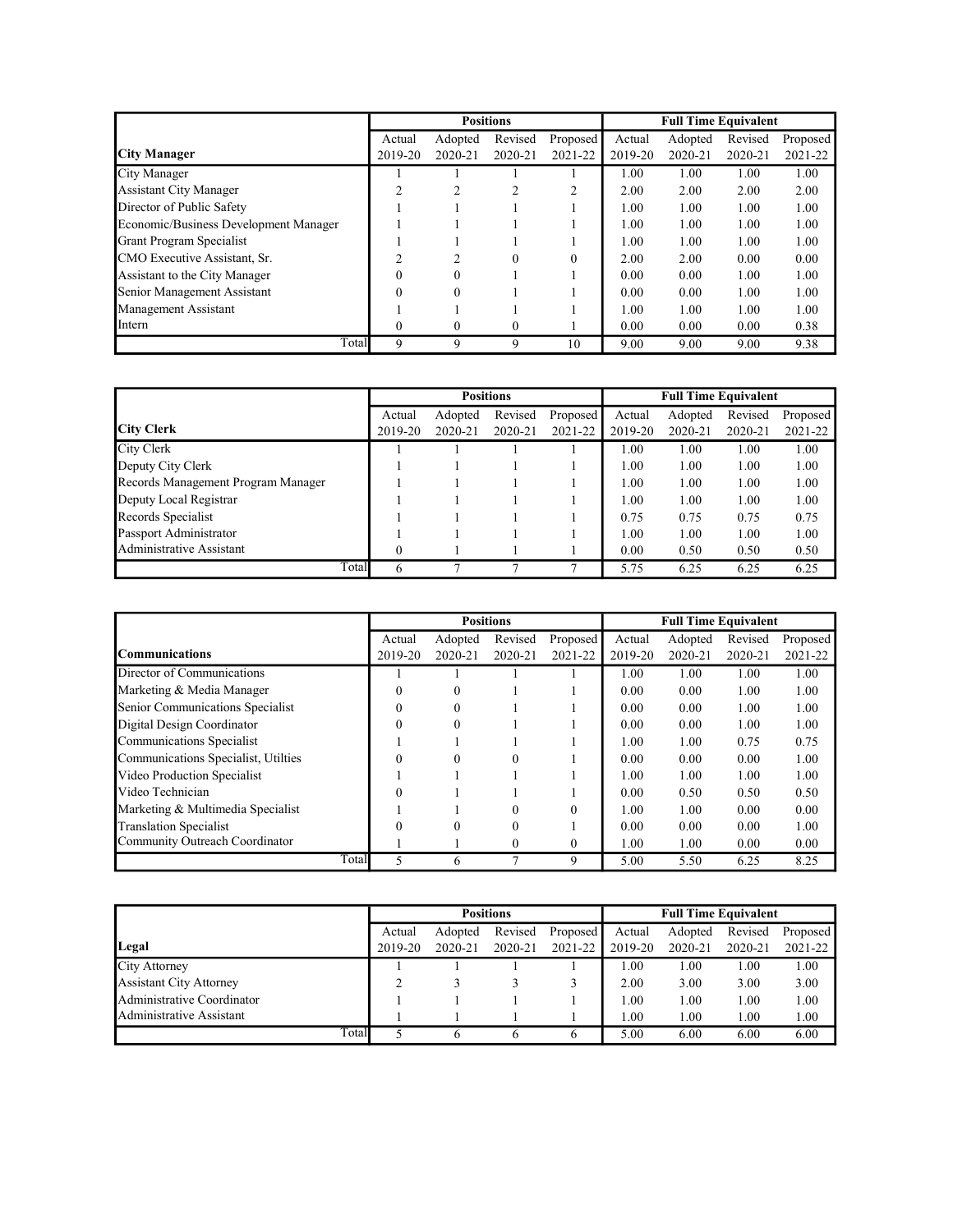|                                       |          |          | <b>Positions</b> |                |         | <b>Full Time Equivalent</b> |         |          |
|---------------------------------------|----------|----------|------------------|----------------|---------|-----------------------------|---------|----------|
|                                       | Actual   | Adopted  | Revised          | Proposed       | Actual  | Adopted                     | Revised | Proposed |
| <b>City Manager</b>                   | 2019-20  | 2020-21  | 2020-21          | 2021-22        | 2019-20 | $2020 - 21$                 | 2020-21 | 2021-22  |
| City Manager                          |          |          |                  |                | 1.00    | 1.00                        | 1.00    | 1.00     |
| <b>Assistant City Manager</b>         | ∍        | ◠        |                  | $\mathfrak{D}$ | 2.00    | 2.00                        | 2.00    | 2.00     |
| Director of Public Safety             |          |          |                  |                | 1.00    | 1.00                        | 1.00    | 1.00     |
| Economic/Business Development Manager |          |          |                  |                | 1.00    | 1.00                        | 1.00    | 1.00     |
| <b>Grant Program Specialist</b>       |          |          |                  |                | 1.00    | 1.00                        | 1.00    | 1.00     |
| CMO Executive Assistant, Sr.          |          | ∍        | $\Omega$         | $\theta$       | 2.00    | 2.00                        | 0.00    | 0.00     |
| Assistant to the City Manager         |          | $\Omega$ |                  |                | 0.00    | 0.00                        | 1.00    | 1.00     |
| Senior Management Assistant           |          | $\Omega$ |                  |                | 0.00    | 0.00                        | 1.00    | 1.00     |
| Management Assistant                  |          |          |                  |                | 1.00    | 1.00                        | 1.00    | 1.00     |
| Intern                                | $\Omega$ | $\Omega$ | 0                |                | 0.00    | 0.00                        | 0.00    | 0.38     |
| Total                                 | 9        | 9        | 9                | 10             | 9.00    | 9.00                        | 9.00    | 9.38     |

|                                    |         |             | <b>Positions</b> |          |         | <b>Full Time Equivalent</b> |         |          |
|------------------------------------|---------|-------------|------------------|----------|---------|-----------------------------|---------|----------|
|                                    | Actual  | Adopted     | Revised          | Proposed | Actual  | Adopted                     | Revised | Proposed |
| <b>City Clerk</b>                  | 2019-20 | $2020 - 21$ | 2020-21          | 2021-22  | 2019-20 | 2020-21                     | 2020-21 | 2021-22  |
| City Clerk                         |         |             |                  |          | 1.00    | 1.00                        | 1.00    | 1.00     |
| Deputy City Clerk                  |         |             |                  |          | 1.00    | 1.00                        | 1.00    | 1.00     |
| Records Management Program Manager |         |             |                  |          | 1.00    | 1.00                        | 1.00    | 1.00     |
| Deputy Local Registrar             |         |             |                  |          | 1.00    | 1.00                        | 1.00    | 1.00     |
| Records Specialist                 |         |             |                  |          | 0.75    | 0.75                        | 0.75    | 0.75     |
| Passport Administrator             |         |             |                  |          | 1.00    | 1.00                        | 1.00    | 1.00     |
| Administrative Assistant           |         |             |                  |          | 0.00    | 0.50                        | 0.50    | 0.50     |
| Total                              |         |             |                  |          | 5.75    | 6.25                        | 6.25    | 6.25     |

|                                     |         |          | <b>Positions</b> |          |         | <b>Full Time Equivalent</b> |         | Proposed<br>2021-22<br>1.00<br>1.00<br>1.00<br>1.00<br>0.75<br>1.00<br>1.00<br>0.50<br>0.00 |  |  |
|-------------------------------------|---------|----------|------------------|----------|---------|-----------------------------|---------|---------------------------------------------------------------------------------------------|--|--|
|                                     | Actual  | Adopted  | Revised          | Proposed | Actual  | Adopted                     | Revised |                                                                                             |  |  |
| Communications                      | 2019-20 | 2020-21  | 2020-21          | 2021-22  | 2019-20 | $2020 - 21$                 | 2020-21 |                                                                                             |  |  |
| Director of Communications          |         |          |                  |          | 1.00    | 1.00                        | 1.00    |                                                                                             |  |  |
| Marketing & Media Manager           | 0       | $\Omega$ |                  |          | 0.00    | 0.00                        | 1.00    |                                                                                             |  |  |
| Senior Communications Specialist    |         | $\Omega$ |                  |          | 0.00    | 0.00                        | 1.00    |                                                                                             |  |  |
| Digital Design Coordinator          | 0       | $\Omega$ |                  |          | 0.00    | 0.00                        | 1.00    |                                                                                             |  |  |
| Communications Specialist           |         |          |                  |          | 1.00    | 1.00                        | 0.75    |                                                                                             |  |  |
| Communications Specialist, Utilties |         |          |                  |          | 0.00    | 0.00                        | 0.00    |                                                                                             |  |  |
| Video Production Specialist         |         |          |                  |          | 1.00    | 1.00                        | 1.00    |                                                                                             |  |  |
| Video Technician                    |         |          |                  |          | 0.00    | 0.50                        | 0.50    |                                                                                             |  |  |
| Marketing & Multimedia Specialist   |         |          | 0                | $\Omega$ | 1.00    | 1.00                        | 0.00    |                                                                                             |  |  |
| <b>Translation Specialist</b>       |         |          |                  |          | 0.00    | 0.00                        | 0.00    | 1.00                                                                                        |  |  |
| Community Outreach Coordinator      |         |          | 0                | $\theta$ | 1.00    | 1.00                        | 0.00    | 0.00                                                                                        |  |  |
| Total                               | 5       | 6        | ┑                | 9        | 5.00    | 5.50                        | 6.25    | 8.25                                                                                        |  |  |

|                                | <b>Positions</b> |                                |         |         |         | <b>Full Time Equivalent</b> |         |             |
|--------------------------------|------------------|--------------------------------|---------|---------|---------|-----------------------------|---------|-------------|
|                                | Actual           | Revised<br>Adopted<br>Proposed |         |         |         | Adopted                     | Revised | Proposed    |
| Legal                          | 2019-20          | 2020-21                        | 2020-21 | 2021-22 | 2019-20 | 2020-21                     | 2020-21 | $2021 - 22$ |
| City Attorney                  |                  |                                |         |         | 1.00    | 1.00                        | 1.00    | 1.00        |
| <b>Assistant City Attorney</b> |                  |                                |         |         | 2.00    | 3.00                        | 3.00    | 3.00        |
| Administrative Coordinator     |                  |                                |         |         | 1.00    | 1.00                        | 1.00    | 1.00        |
| Administrative Assistant       |                  |                                |         |         | 1.00    | 1.00                        | 1.00    | 1.00        |
| Total                          |                  |                                |         | 6       | 5.00    | 6.00                        | 6.00    | 6.00        |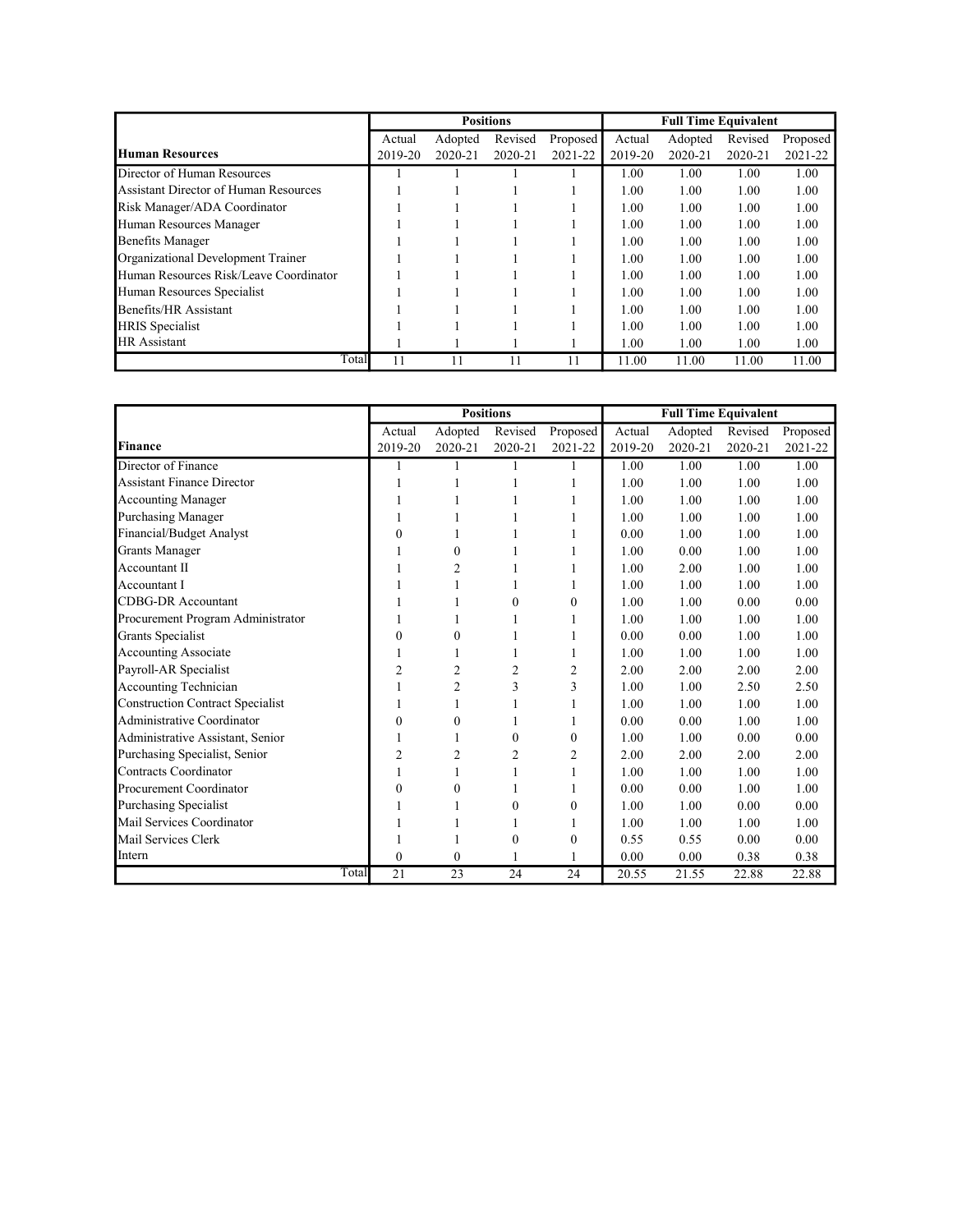|                                        |         |         | <b>Positions</b> |          |         | <b>Full Time Equivalent</b> |         |          |
|----------------------------------------|---------|---------|------------------|----------|---------|-----------------------------|---------|----------|
|                                        | Actual  | Adopted | Revised          | Proposed | Actual  | Adopted                     | Revised | Proposed |
| <b>Human Resources</b>                 | 2019-20 | 2020-21 | 2020-21          | 2021-22  | 2019-20 | 2020-21                     | 2020-21 | 2021-22  |
| Director of Human Resources            |         |         |                  |          | 1.00    | 1.00                        | 1.00    | 1.00     |
| Assistant Director of Human Resources  |         |         |                  |          | 1.00    | 1.00                        | 1.00    | 1.00     |
| Risk Manager/ADA Coordinator           |         |         |                  |          | 1.00    | 1.00                        | 1.00    | 1.00     |
| Human Resources Manager                |         |         |                  |          | 1.00    | 1.00                        | 1.00    | 1.00     |
| <b>Benefits Manager</b>                |         |         |                  |          | 1.00    | 1.00                        | 1.00    | 1.00     |
| Organizational Development Trainer     |         |         |                  |          | 1.00    | 1.00                        | 1.00    | 1.00     |
| Human Resources Risk/Leave Coordinator |         |         |                  |          | 1.00    | 1.00                        | 1.00    | 1.00     |
| Human Resources Specialist             |         |         |                  |          | 1.00    | 1.00                        | 1.00    | 1.00     |
| Benefits/HR Assistant                  |         |         |                  |          | 1.00    | 1.00                        | 1.00    | 1.00     |
| <b>HRIS</b> Specialist                 |         |         |                  |          | 1.00    | 1.00                        | 1.00    | 1.00     |
| <b>HR</b> Assistant                    |         |         |                  |          | 1.00    | 1.00                        | 1.00    | 1.00     |
| Total                                  | 11      |         | 11               | 11       | 11.00   | 11.00                       | 11.00   | 11.00    |

|                                         |                |                | <b>Positions</b> |                |         | <b>Full Time Equivalent</b> |         |          |
|-----------------------------------------|----------------|----------------|------------------|----------------|---------|-----------------------------|---------|----------|
|                                         | Actual         | Adopted        | Revised          | Proposed       | Actual  | Adopted                     | Revised | Proposed |
| Finance                                 | 2019-20        | 2020-21        | 2020-21          | 2021-22        | 2019-20 | 2020-21                     | 2020-21 | 2021-22  |
| Director of Finance                     | 1              | 1              | 1                | 1              | 1.00    | 1.00                        | 1.00    | 1.00     |
| <b>Assistant Finance Director</b>       | 1              | 1              | 1                | $\mathbf{1}$   | 1.00    | 1.00                        | 1.00    | 1.00     |
| <b>Accounting Manager</b>               | 1              | 1              | 1                | 1              | 1.00    | 1.00                        | 1.00    | 1.00     |
| <b>Purchasing Manager</b>               |                |                | 1                | 1              | 1.00    | 1.00                        | 1.00    | 1.00     |
| Financial/Budget Analyst                | $\mathbf{0}$   |                |                  |                | 0.00    | 1.00                        | 1.00    | 1.00     |
| <b>Grants Manager</b>                   |                | $\theta$       | 1                |                | 1.00    | 0.00                        | 1.00    | 1.00     |
| Accountant II                           |                | $\overline{c}$ | 1                | 1              | 1.00    | 2.00                        | 1.00    | 1.00     |
| Accountant I                            | 1              | 1              | 1                | 1              | 1.00    | 1.00                        | 1.00    | 1.00     |
| <b>CDBG-DR</b> Accountant               |                |                | $\theta$         | $\theta$       | 1.00    | 1.00                        | 0.00    | 0.00     |
| Procurement Program Administrator       |                |                | 1                |                | 1.00    | 1.00                        | 1.00    | 1.00     |
| Grants Specialist                       | 0              | $\theta$       | 1                | 1              | 0.00    | 0.00                        | 1.00    | 1.00     |
| <b>Accounting Associate</b>             |                | 1              | 1                | 1              | 1.00    | 1.00                        | 1.00    | 1.00     |
| Payroll-AR Specialist                   | $\overline{2}$ | $\overline{2}$ | $\overline{2}$   | $\overline{c}$ | 2.00    | 2.00                        | 2.00    | 2.00     |
| Accounting Technician                   | 1              | $\overline{2}$ | 3                | 3              | 1.00    | 1.00                        | 2.50    | 2.50     |
| <b>Construction Contract Specialist</b> |                | 1              | 1                | $\mathbf{1}$   | 1.00    | 1.00                        | 1.00    | 1.00     |
| Administrative Coordinator              | $\mathbf{0}$   | $\mathbf{0}$   | 1                | 1              | 0.00    | 0.00                        | 1.00    | 1.00     |
| Administrative Assistant, Senior        |                | 1              | $\theta$         | $\theta$       | 1.00    | 1.00                        | 0.00    | 0.00     |
| Purchasing Specialist, Senior           | $\overline{2}$ | $\overline{c}$ | $\overline{2}$   | $\overline{2}$ | 2.00    | 2.00                        | 2.00    | 2.00     |
| Contracts Coordinator                   |                |                | 1                | 1              | 1.00    | 1.00                        | 1.00    | 1.00     |
| Procurement Coordinator                 | $\Omega$       | $\theta$       | 1                | 1              | 0.00    | 0.00                        | 1.00    | 1.00     |
| <b>Purchasing Specialist</b>            |                |                | $\mathbf{0}$     | $\mathbf{0}$   | 1.00    | 1.00                        | 0.00    | 0.00     |
| Mail Services Coordinator               |                |                |                  |                | 1.00    | 1.00                        | 1.00    | 1.00     |
| Mail Services Clerk                     |                |                | $\mathbf{0}$     | $\mathbf{0}$   | 0.55    | 0.55                        | 0.00    | 0.00     |
| Intern                                  | $\theta$       | $\theta$       | 1                | 1              | 0.00    | 0.00                        | 0.38    | 0.38     |
| Total                                   | 21             | 23             | 24               | 24             | 20.55   | 21.55                       | 22.88   | 22.88    |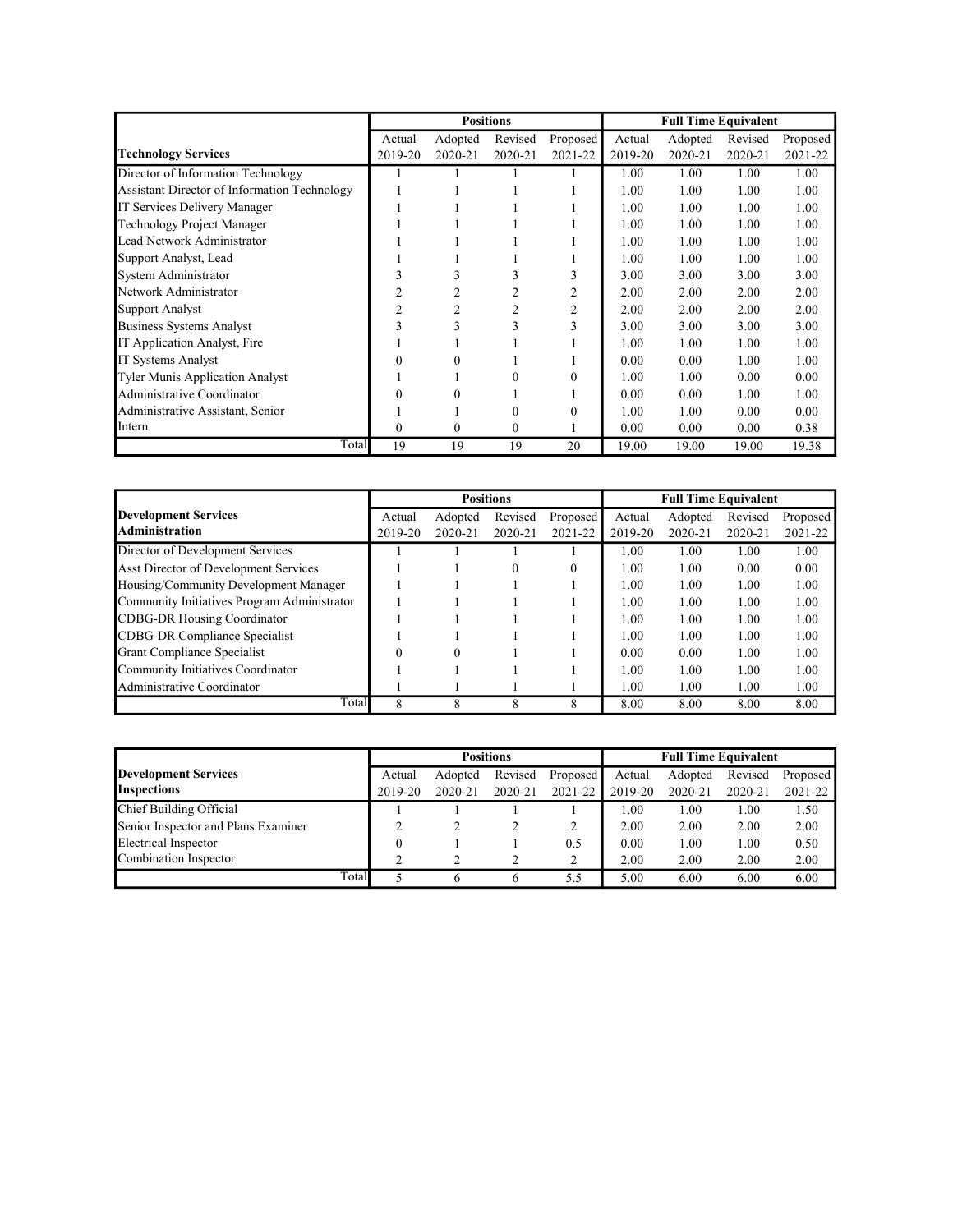|                                              | <b>Positions</b> |                |              |                |         | <b>Full Time Equivalent</b> |         |          |
|----------------------------------------------|------------------|----------------|--------------|----------------|---------|-----------------------------|---------|----------|
|                                              | Actual           | Adopted        | Revised      | Proposed       | Actual  | Adopted                     | Revised | Proposed |
| <b>Technology Services</b>                   | 2019-20          | 2020-21        | 2020-21      | 2021-22        | 2019-20 | 2020-21                     | 2020-21 | 2021-22  |
| Director of Information Technology           |                  |                |              |                | 1.00    | 1.00                        | 1.00    | 1.00     |
| Assistant Director of Information Technology |                  |                |              |                | 1.00    | 1.00                        | 1.00    | 1.00     |
| IT Services Delivery Manager                 |                  |                |              |                | 1.00    | 1.00                        | 1.00    | 1.00     |
| <b>Technology Project Manager</b>            |                  |                |              |                | 1.00    | 1.00                        | 1.00    | 1.00     |
| Lead Network Administrator                   |                  |                |              |                | 1.00    | 1.00                        | 1.00    | 1.00     |
| Support Analyst, Lead                        |                  |                |              |                | 1.00    | 1.00                        | 1.00    | 1.00     |
| System Administrator                         | 3                | 3              | 3            | 3              | 3.00    | 3.00                        | 3.00    | 3.00     |
| Network Administrator                        |                  |                |              | 2              | 2.00    | 2.00                        | 2.00    | 2.00     |
| Support Analyst                              | $\overline{2}$   | $\overline{2}$ | 2            | $\overline{2}$ | 2.00    | 2.00                        | 2.00    | 2.00     |
| <b>Business Systems Analyst</b>              | 3                | 3              | 3            | 3              | 3.00    | 3.00                        | 3.00    | 3.00     |
| IT Application Analyst, Fire                 |                  |                |              |                | 1.00    | 1.00                        | 1.00    | 1.00     |
| <b>IT Systems Analyst</b>                    | 0                | $\Omega$       |              |                | 0.00    | 0.00                        | 1.00    | 1.00     |
| Tyler Munis Application Analyst              |                  |                | 0            | $\theta$       | 1.00    | 1.00                        | 0.00    | 0.00     |
| Administrative Coordinator                   |                  |                |              |                | 0.00    | 0.00                        | 1.00    | 1.00     |
| Administrative Assistant, Senior             |                  |                | 0            | $\Omega$       | 1.00    | 1.00                        | 0.00    | 0.00     |
| Intern                                       | 0                | $\mathbf{0}$   | $\mathbf{0}$ |                | 0.00    | 0.00                        | 0.00    | 0.38     |
| Total                                        | 19               | 19             | 19           | 20             | 19.00   | 19.00                       | 19.00   | 19.38    |

|                                             |         |          | <b>Positions</b> |          |         | <b>Full Time Equivalent</b> |         |          |
|---------------------------------------------|---------|----------|------------------|----------|---------|-----------------------------|---------|----------|
| <b>Development Services</b>                 | Actual  | Adopted  | Revised          | Proposed | Actual  | Adopted                     | Revised | Proposed |
| <b>Administration</b>                       | 2019-20 | 2020-21  | 2020-21          | 2021-22  | 2019-20 | $2020 - 21$                 | 2020-21 | 2021-22  |
| Director of Development Services            |         |          |                  |          | 1.00    | 1.00                        | 1.00    | 1.00     |
| Asst Director of Development Services       |         |          |                  | 0        | 1.00    | 1.00                        | 0.00    | 0.00     |
| Housing/Community Development Manager       |         |          |                  |          | 1.00    | 1.00                        | 1.00    | 1.00     |
| Community Initiatives Program Administrator |         |          |                  |          | 1.00    | 1.00                        | 1.00    | 1.00     |
| <b>CDBG-DR Housing Coordinator</b>          |         |          |                  |          | 1.00    | 1.00                        | 1.00    | 1.00     |
| CDBG-DR Compliance Specialist               |         |          |                  |          | 1.00    | 1.00                        | 1.00    | 1.00     |
| Grant Compliance Specialist                 |         | $\Omega$ |                  |          | 0.00    | 0.00                        | 1.00    | 1.00     |
| Community Initiatives Coordinator           |         |          |                  |          | 1.00    | 1.00                        | 1.00    | 1.00     |
| Administrative Coordinator                  |         |          |                  |          | 1.00    | 1.00                        | 1.00    | 1.00     |
| Total                                       | 8       | 8        | 8                | 8        | 8.00    | 8.00                        | 8.00    | 8.00     |

|                                     |         | <b>Positions</b> |         |          |         | <b>Full Time Equivalent</b> |         |          |
|-------------------------------------|---------|------------------|---------|----------|---------|-----------------------------|---------|----------|
| Development Services                | Actual  | Adopted          | Revised | Proposed | Actual  | Adopted                     | Revised | Proposed |
| <b>Inspections</b>                  | 2019-20 | 2020-21          | 2020-21 | 2021-22  | 2019-20 | $2020 - 21$                 | 2020-21 | 2021-22  |
| Chief Building Official             |         |                  |         |          | 1.00    | 1.00                        | 1.00    | 1.50     |
| Senior Inspector and Plans Examiner |         |                  |         |          | 2.00    | 2.00                        | 2.00    | 2.00     |
| Electrical Inspector                |         |                  |         | 0.5      | 0.00    | 1.00                        | 1.00    | 0.50     |
| Combination Inspector               |         |                  |         | ∍        | 2.00    | 2.00                        | 2.00    | 2.00     |
|                                     | Total   |                  |         | 5.5      | 5.00    | 6.00                        | 6.00    | 6.00     |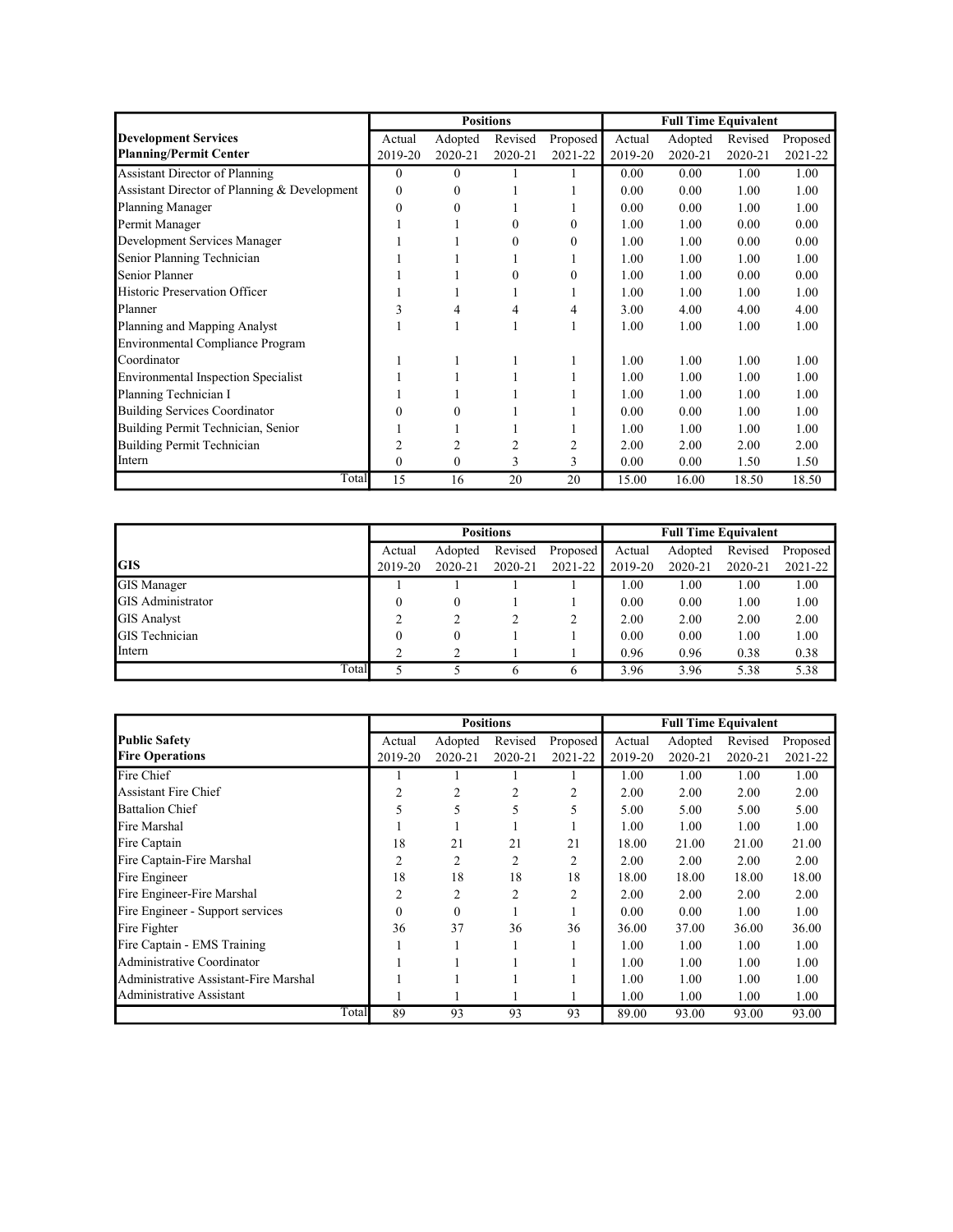|                                              |              |              | <b>Positions</b> |                | <b>Full Time Equivalent</b> |         |         |          |
|----------------------------------------------|--------------|--------------|------------------|----------------|-----------------------------|---------|---------|----------|
| <b>Development Services</b>                  | Actual       | Adopted      | Revised          | Proposed       | Actual                      | Adopted | Revised | Proposed |
| <b>Planning/Permit Center</b>                | 2019-20      | 2020-21      | 2020-21          | 2021-22        | 2019-20                     | 2020-21 | 2020-21 | 2021-22  |
| <b>Assistant Director of Planning</b>        | $\theta$     | $\Omega$     |                  |                | 0.00                        | 0.00    | 1.00    | 1.00     |
| Assistant Director of Planning & Development | $\mathbf{0}$ | $\Omega$     |                  |                | 0.00                        | 0.00    | 1.00    | 1.00     |
| Planning Manager                             | $\mathbf{0}$ | $\theta$     |                  |                | 0.00                        | 0.00    | 1.00    | 1.00     |
| Permit Manager                               |              |              | 0                | $\theta$       | 1.00                        | 1.00    | 0.00    | 0.00     |
| Development Services Manager                 |              |              | 0                | $\Omega$       | 1.00                        | 1.00    | 0.00    | 0.00     |
| Senior Planning Technician                   |              |              |                  |                | 1.00                        | 1.00    | 1.00    | 1.00     |
| Senior Planner                               |              |              | $\Omega$         | $\theta$       | 1.00                        | 1.00    | 0.00    | 0.00     |
| Historic Preservation Officer                |              |              |                  |                | 1.00                        | 1.00    | 1.00    | 1.00     |
| Planner                                      | 3            |              |                  | 4              | 3.00                        | 4.00    | 4.00    | 4.00     |
| Planning and Mapping Analyst                 |              |              |                  |                | 1.00                        | 1.00    | 1.00    | 1.00     |
| Environmental Compliance Program             |              |              |                  |                |                             |         |         |          |
| Coordinator                                  |              |              |                  |                | 1.00                        | 1.00    | 1.00    | 1.00     |
| <b>Environmental Inspection Specialist</b>   |              |              |                  |                | 1.00                        | 1.00    | 1.00    | 1.00     |
| Planning Technician I                        |              |              |                  |                | 1.00                        | 1.00    | 1.00    | 1.00     |
| <b>Building Services Coordinator</b>         | 0            | 0            |                  |                | 0.00                        | 0.00    | 1.00    | 1.00     |
| Building Permit Technician, Senior           |              |              |                  |                | 1.00                        | 1.00    | 1.00    | 1.00     |
| Building Permit Technician                   |              |              |                  | $\overline{c}$ | 2.00                        | 2.00    | 2.00    | 2.00     |
| Intern                                       | 0            | $\mathbf{0}$ | 3                | 3              | 0.00                        | 0.00    | 1.50    | 1.50     |
| Total                                        | 15           | 16           | 20               | 20             | 15.00                       | 16.00   | 18.50   | 18.50    |

|                          |          | <b>Positions</b> |         |          |         | <b>Full Time Equivalent</b> |         | 2021-22<br>1.00<br>1.00<br>2.00<br>1.00 |  |
|--------------------------|----------|------------------|---------|----------|---------|-----------------------------|---------|-----------------------------------------|--|
|                          | Actual   | Adopted          | Revised | Proposed | Actual  | Adopted                     | Revised | Proposed                                |  |
| IGIS                     | 2019-20  | 2020-21          | 2020-21 | 2021-22  | 2019-20 | 2020-21                     | 2020-21 |                                         |  |
| <b>GIS Manager</b>       |          |                  |         |          | 1.00    | 1.00                        | 1.00    |                                         |  |
| <b>GIS</b> Administrator | $\theta$ | $\theta$         |         |          | 0.00    | 0.00                        | 1.00    |                                         |  |
| <b>GIS Analyst</b>       |          |                  |         |          | 2.00    | 2.00                        | 2.00    |                                         |  |
| <b>GIS</b> Technician    | $\theta$ | 0                |         |          | 0.00    | 0.00                        | 1.00    |                                         |  |
| Intern                   | ↑        |                  |         |          | 0.96    | 0.96                        | 0.38    | 0.38                                    |  |
| Total                    |          |                  | 6       | 6        | 3.96    | 3.96                        | 5.38    | 5.38                                    |  |

|                                       |          |          | <b>Positions</b> |          |         | <b>Full Time Equivalent</b> |         |          |
|---------------------------------------|----------|----------|------------------|----------|---------|-----------------------------|---------|----------|
| <b>Public Safety</b>                  | Actual   | Adopted  | Revised          | Proposed | Actual  | Adopted                     | Revised | Proposed |
| <b>Fire Operations</b>                | 2019-20  | 2020-21  | 2020-21          | 2021-22  | 2019-20 | 2020-21                     | 2020-21 | 2021-22  |
| Fire Chief                            |          |          |                  |          | 1.00    | 1.00                        | 1.00    | 1.00     |
| <b>Assistant Fire Chief</b>           | 2        | 2        | 2                | 2        | 2.00    | 2.00                        | 2.00    | 2.00     |
| <b>Battalion Chief</b>                | 5        | 5        | 5                | 5        | 5.00    | 5.00                        | 5.00    | 5.00     |
| Fire Marshal                          |          |          |                  |          | 1.00    | 1.00                        | 1.00    | 1.00     |
| Fire Captain                          | 18       | 21       | 21               | 21       | 18.00   | 21.00                       | 21.00   | 21.00    |
| Fire Captain-Fire Marshal             | 2        | 2        | 2                | 2        | 2.00    | 2.00                        | 2.00    | 2.00     |
| Fire Engineer                         | 18       | 18       | 18               | 18       | 18.00   | 18.00                       | 18.00   | 18.00    |
| Fire Engineer-Fire Marshal            | 2        | 2        | $\overline{c}$   | 2        | 2.00    | 2.00                        | 2.00    | 2.00     |
| Fire Engineer - Support services      | $\Omega$ | $\Omega$ |                  |          | 0.00    | 0.00                        | 1.00    | 1.00     |
| Fire Fighter                          | 36       | 37       | 36               | 36       | 36.00   | 37.00                       | 36.00   | 36.00    |
| Fire Captain - EMS Training           |          |          |                  |          | 1.00    | 1.00                        | 1.00    | 1.00     |
| Administrative Coordinator            |          |          |                  |          | 1.00    | 1.00                        | 1.00    | 1.00     |
| Administrative Assistant-Fire Marshal |          |          |                  |          | 1.00    | 1.00                        | 1.00    | 1.00     |
| Administrative Assistant              |          |          |                  |          | 1.00    | 1.00                        | 1.00    | 1.00     |
| Total                                 | 89       | 93       | 93               | 93       | 89.00   | 93.00                       | 93.00   | 93.00    |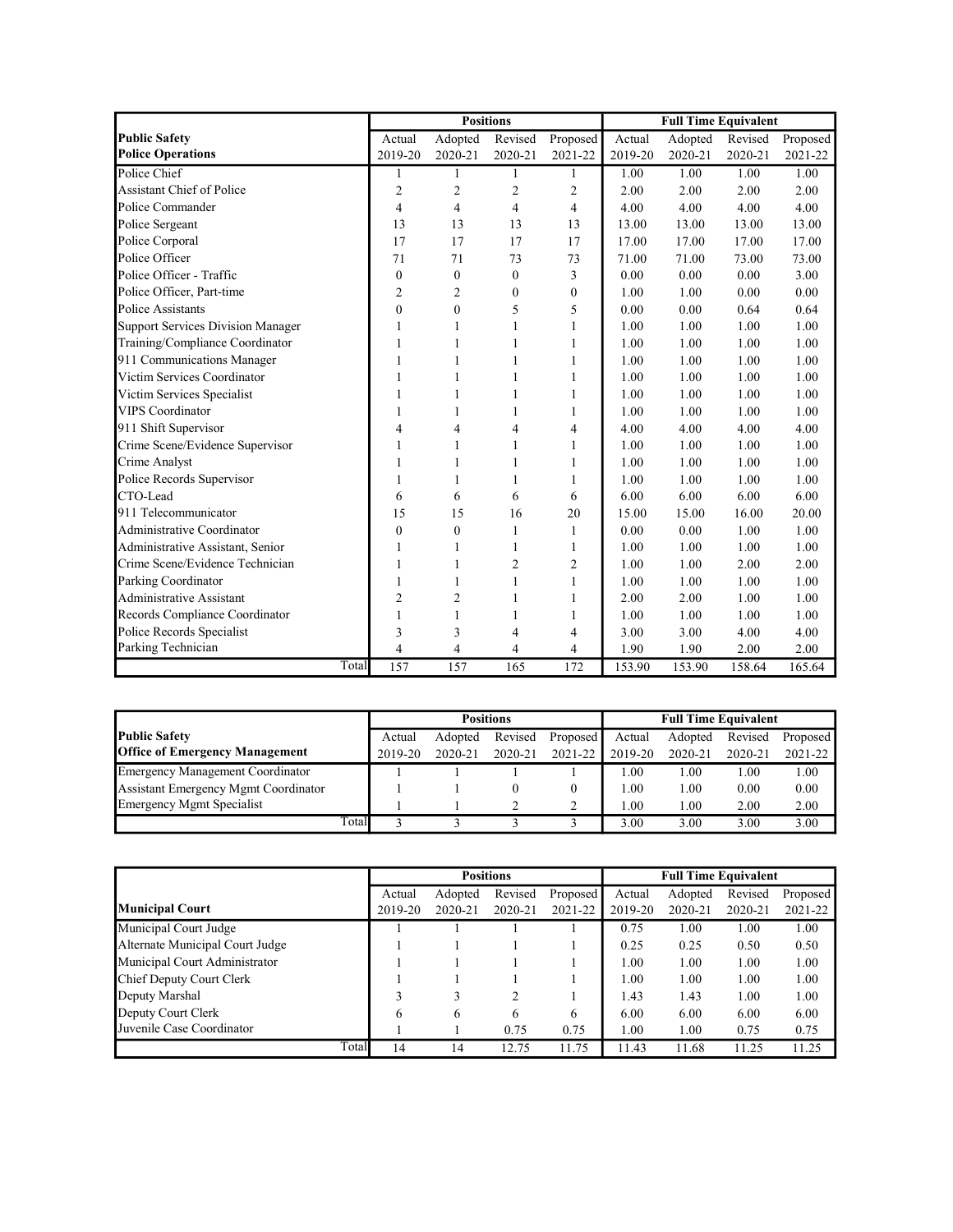|                                          |                         |                | <b>Positions</b> |                  | <b>Full Time Equivalent</b> |         |         |          |
|------------------------------------------|-------------------------|----------------|------------------|------------------|-----------------------------|---------|---------|----------|
| <b>Public Safety</b>                     | Actual                  | Adopted        | Revised          | Proposed         | Actual                      | Adopted | Revised | Proposed |
| <b>Police Operations</b>                 | 2019-20                 | 2020-21        | 2020-21          | 2021-22          | 2019-20                     | 2020-21 | 2020-21 | 2021-22  |
| Police Chief                             | 1                       | 1              | $\mathbf{1}$     | 1                | 1.00                        | 1.00    | 1.00    | 1.00     |
| <b>Assistant Chief of Police</b>         | $\overline{c}$          | $\overline{c}$ | $\overline{2}$   | $\overline{2}$   | 2.00                        | 2.00    | 2.00    | 2.00     |
| Police Commander                         | 4                       | 4              | $\overline{4}$   | 4                | 4.00                        | 4.00    | 4.00    | 4.00     |
| Police Sergeant                          | 13                      | 13             | 13               | 13               | 13.00                       | 13.00   | 13.00   | 13.00    |
| Police Corporal                          | 17                      | 17             | 17               | 17               | 17.00                       | 17.00   | 17.00   | 17.00    |
| Police Officer                           | 71                      | 71             | 73               | 73               | 71.00                       | 71.00   | 73.00   | 73.00    |
| Police Officer - Traffic                 | $\mathbf{0}$            | $\mathbf{0}$   | $\overline{0}$   | 3                | 0.00                        | 0.00    | 0.00    | 3.00     |
| Police Officer, Part-time                | 2                       | $\overline{c}$ | $\mathbf{0}$     | $\boldsymbol{0}$ | 1.00                        | 1.00    | 0.00    | 0.00     |
| Police Assistants                        | $\theta$                | $\mathbf{0}$   | 5                | 5                | 0.00                        | 0.00    | 0.64    | 0.64     |
| <b>Support Services Division Manager</b> | 1                       | $\mathbf{1}$   | $\mathbf{1}$     | $\mathbf{1}$     | 1.00                        | 1.00    | 1.00    | 1.00     |
| Training/Compliance Coordinator          | 1                       | $\mathbf{1}$   | $\mathbf{1}$     | $\mathbf{1}$     | 1.00                        | 1.00    | 1.00    | 1.00     |
| 911 Communications Manager               | $\mathbf{1}$            | $\mathbf{1}$   | $\mathbf{1}$     | 1                | 1.00                        | 1.00    | 1.00    | 1.00     |
| Victim Services Coordinator              | 1                       | $\mathbf{1}$   | 1                | 1                | 1.00                        | 1.00    | 1.00    | 1.00     |
| Victim Services Specialist               | 1                       | 1              | 1                | 1                | 1.00                        | 1.00    | 1.00    | 1.00     |
| <b>VIPS</b> Coordinator                  | 1                       | $\mathbf{1}$   | $\mathbf{1}$     | 1                | 1.00                        | 1.00    | 1.00    | 1.00     |
| 911 Shift Supervisor                     | 4                       | 4              | $\overline{4}$   | 4                | 4.00                        | 4.00    | 4.00    | 4.00     |
| Crime Scene/Evidence Supervisor          | 1                       | $\mathbf{1}$   | $\mathbf{1}$     | $\mathbf{1}$     | 1.00                        | 1.00    | 1.00    | 1.00     |
| Crime Analyst                            | 1                       | 1              | 1                | 1                | 1.00                        | 1.00    | 1.00    | 1.00     |
| Police Records Supervisor                | 1                       | 1              | $\mathbf{1}$     | 1                | 1.00                        | 1.00    | 1.00    | 1.00     |
| CTO-Lead                                 | 6                       | 6              | 6                | 6                | 6.00                        | 6.00    | 6.00    | 6.00     |
| 911 Telecommunicator                     | 15                      | 15             | 16               | 20               | 15.00                       | 15.00   | 16.00   | 20.00    |
| Administrative Coordinator               | $\mathbf{0}$            | $\mathbf{0}$   | $\mathbf{1}$     | $\mathbf{1}$     | 0.00                        | 0.00    | 1.00    | 1.00     |
| Administrative Assistant, Senior         | 1                       | 1              | 1                | 1                | 1.00                        | 1.00    | 1.00    | 1.00     |
| Crime Scene/Evidence Technician          | 1                       | $\mathbf{1}$   | $\overline{2}$   | $\overline{2}$   | 1.00                        | 1.00    | 2.00    | 2.00     |
| Parking Coordinator                      | 1                       | 1              | $\mathbf{1}$     | $\mathbf{1}$     | 1.00                        | 1.00    | 1.00    | 1.00     |
| <b>Administrative Assistant</b>          | $\overline{c}$          | $\overline{c}$ | $\mathbf{1}$     | 1                | 2.00                        | 2.00    | 1.00    | 1.00     |
| Records Compliance Coordinator           | 1                       | 1              | $\mathbf{1}$     | 1                | 1.00                        | 1.00    | 1.00    | 1.00     |
| Police Records Specialist                | 3                       | 3              | 4                | 4                | 3.00                        | 3.00    | 4.00    | 4.00     |
| Parking Technician                       | $\overline{\mathbf{4}}$ | 4              | $\overline{4}$   | 4                | 1.90                        | 1.90    | 2.00    | 2.00     |
| Total                                    | 157                     | 157            | 165              | 172              | 153.90                      | 153.90  | 158.64  | 165.64   |

|                                         |         |         | <b>Positions</b> |          | <b>Full Time Equivalent</b> |         |         |             |
|-----------------------------------------|---------|---------|------------------|----------|-----------------------------|---------|---------|-------------|
| <b>Public Safety</b>                    | Actual  | Adopted | Revised          | Proposed | Actual                      | Adopted | Revised | Proposed    |
| <b>Office of Emergency Management</b>   | 2019-20 | 2020-21 | 2020-21          | 2021-22  | 2019-20                     | 2020-21 | 2020-21 | $2021 - 22$ |
| <b>Emergency Management Coordinator</b> |         |         |                  |          | 00.1                        | 1.00    | 1.00    | 1.00        |
| Assistant Emergency Mgmt Coordinator    |         |         |                  |          | 1.00                        | 1.00    | 0.00    | 0.00        |
| <b>Emergency Mgmt Specialist</b>        |         |         |                  |          | 1.00                        | 1.00    | 2.00    | 2.00        |
| Total                                   |         |         |                  |          | 3.00                        | 3.00    | 3.00    | 3.00        |

|                                 |         |             | <b>Positions</b> |          | <b>Full Time Equivalent</b> |         |         |          |  |
|---------------------------------|---------|-------------|------------------|----------|-----------------------------|---------|---------|----------|--|
|                                 | Actual  | Adopted     | Revised          | Proposed | Actual                      | Adopted | Revised | Proposed |  |
| <b>Municipal Court</b>          | 2019-20 | $2020 - 21$ | $2020 - 21$      | 2021-22  | 2019-20                     | 2020-21 | 2020-21 | 2021-22  |  |
| Municipal Court Judge           |         |             |                  |          | 0.75                        | 1.00    | 1.00    | 1.00     |  |
| Alternate Municipal Court Judge |         |             |                  |          | 0.25                        | 0.25    | 0.50    | 0.50     |  |
| Municipal Court Administrator   |         |             |                  |          | 1.00                        | 1.00    | 1.00    | 1.00     |  |
| Chief Deputy Court Clerk        |         |             |                  |          | 1.00                        | 1.00    | 1.00    | 1.00     |  |
| Deputy Marshal                  |         |             |                  |          | 1.43                        | 1.43    | 1.00    | 1.00     |  |
| Deputy Court Clerk              | 6       | 6           | 6                | 6        | 6.00                        | 6.00    | 6.00    | 6.00     |  |
| Juvenile Case Coordinator       |         |             | 0.75             | 0.75     | 1.00                        | 1.00    | 0.75    | 0.75     |  |
| Total                           | 14      | 14          | 12.75            | 11.75    | 11.43                       | 11.68   | 11.25   | 11.25    |  |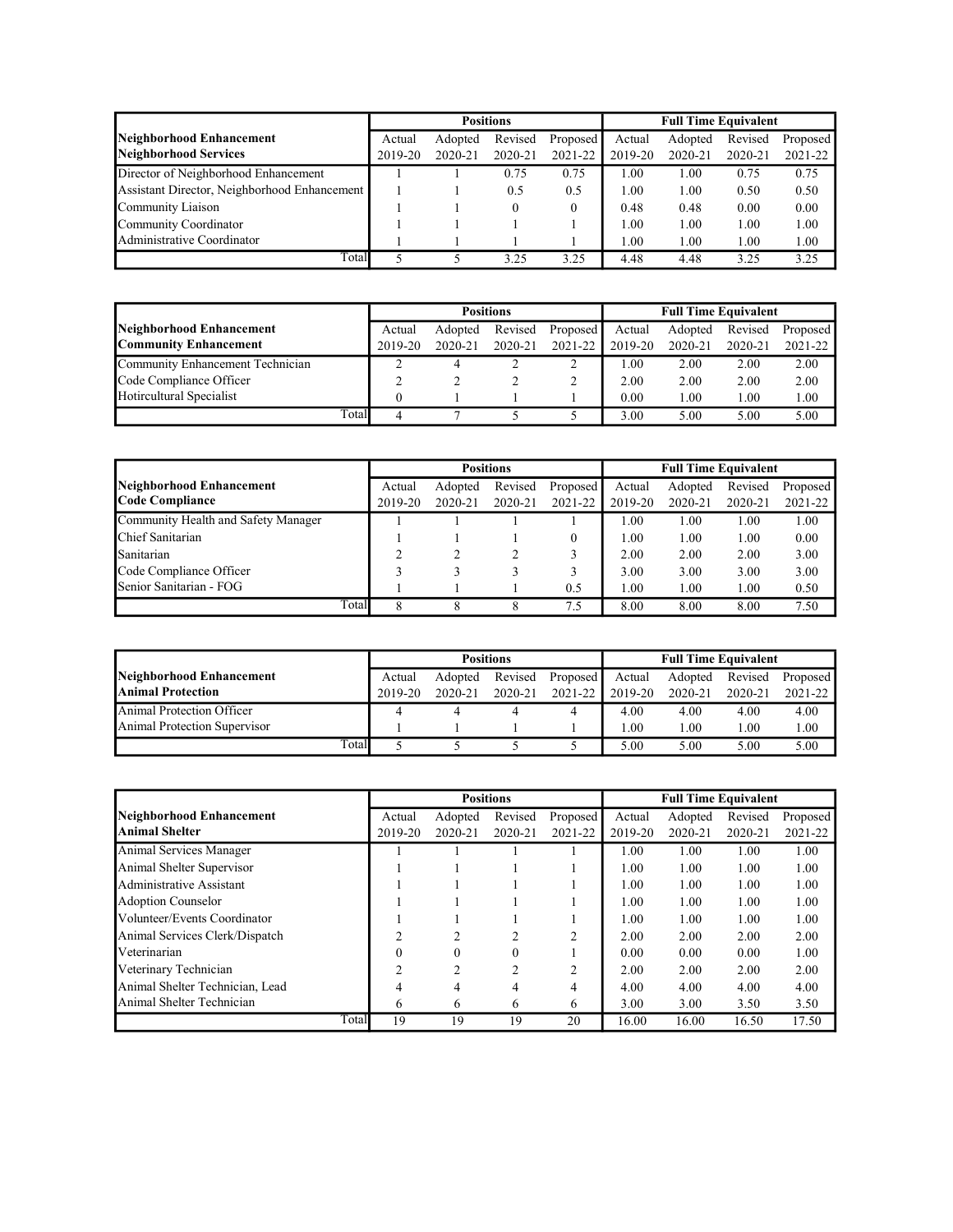|                                              |         |         | <b>Positions</b> |          | <b>Full Time Equivalent</b> |         |         |          |  |
|----------------------------------------------|---------|---------|------------------|----------|-----------------------------|---------|---------|----------|--|
| Neighborhood Enhancement                     | Actual  | Adopted | Revised          | Proposed | Actual                      | Adopted | Revised | Proposed |  |
| Neighborhood Services                        | 2019-20 | 2020-21 | 2020-21          | 2021-22  | 2019-20                     | 2020-21 | 2020-21 | 2021-22  |  |
| Director of Neighborhood Enhancement         |         |         | 0.75             | 0.75     | 1.00                        | 1.00    | 0.75    | 0.75     |  |
| Assistant Director, Neighborhood Enhancement |         |         | 0.5              | 0.5      | 1.00                        | 1.00    | 0.50    | 0.50     |  |
| Community Liaison                            |         |         |                  | $\theta$ | 0.48                        | 0.48    | 0.00    | 0.00     |  |
| Community Coordinator                        |         |         |                  |          | 1.00                        | 1.00    | 1.00    | 1.00     |  |
| Administrative Coordinator                   |         |         |                  |          | 1.00                        | 1.00    | 1.00    | 1.00     |  |
| Total                                        |         |         | 3.25             | 3.25     | 4.48                        | 4.48    | 3.25    | 3.25     |  |

|                                  |         |         | <b>Positions</b> |          | <b>Full Time Equivalent</b> |         |         |          |  |
|----------------------------------|---------|---------|------------------|----------|-----------------------------|---------|---------|----------|--|
| Neighborhood Enhancement         | Actual  | Adopted | Revised          | Proposed | Actual                      | Adopted | Revised | Proposed |  |
| <b>Community Enhancement</b>     | 2019-20 | 2020-21 | 2020-21          | 2021-22  | 2019-20                     | 2020-21 | 2020-21 | 2021-22  |  |
| Community Enhancement Technician |         |         |                  | ↑        | 1.00                        | 2.00    | 2.00    | 2.00     |  |
| Code Compliance Officer          |         |         |                  |          | 2.00                        | 2.00    | 2.00    | 2.00     |  |
| Hotircultural Specialist         |         |         |                  |          | 0.00                        | 1.00    | 1.00    | 1.00     |  |
| Total                            |         |         |                  |          | 3.00                        | 5.00    | 5.00    | 5.00     |  |

|                                     |         |         | <b>Positions</b> |          | <b>Full Time Equivalent</b> |         |         |          |  |
|-------------------------------------|---------|---------|------------------|----------|-----------------------------|---------|---------|----------|--|
| Neighborhood Enhancement            | Actual  | Adopted | Revised          | Proposed | Actual                      | Adopted | Revised | Proposed |  |
| Code Compliance                     | 2019-20 | 2020-21 | 2020-21          | 2021-22  | 2019-20                     | 2020-21 | 2020-21 | 2021-22  |  |
| Community Health and Safety Manager |         |         |                  |          | 00.1                        | 1.00    | 1.00    | 1.00     |  |
| Chief Sanitarian                    |         |         |                  | $\theta$ | 1.00                        | 1.00    | 1.00    | 0.00     |  |
| Sanitarian                          |         |         |                  |          | 2.00                        | 2.00    | 2.00    | 3.00     |  |
| Code Compliance Officer             |         |         |                  | 3        | 3.00                        | 3.00    | 3.00    | 3.00     |  |
| Senior Sanitarian - FOG             |         |         |                  | 0.5      | 1.00                        | 1.00    | 1.00    | 0.50     |  |
| Total                               |         |         | 8                | 7.5      | 8.00                        | 8.00    | 8.00    | 7.50     |  |

|                              | <b>Positions</b> |             |         |          | <b>Full Time Equivalent</b> |         |         |             |
|------------------------------|------------------|-------------|---------|----------|-----------------------------|---------|---------|-------------|
| Neighborhood Enhancement     | Actual           | Adopted     | Revised | Proposed | Actual                      | Adopted | Revised | Proposed    |
| <b>Animal Protection</b>     | 2019-20          | $2020 - 21$ | 2020-21 | 2021-22  | 2019-20                     | 2020-21 | 2020-21 | $2021 - 22$ |
| Animal Protection Officer    |                  |             |         |          | 4.00                        | 4.00    | 4.00    | 4.00        |
| Animal Protection Supervisor |                  |             |         |          | 1.00                        | 1.00    | 1.00    | 1.00        |
| Total                        |                  |             |         |          | 5.00                        | 5.00    | 5.00    | 5.00        |

|                                 |         |         | <b>Positions</b> |                |         | <b>Full Time Equivalent</b> |         |          |
|---------------------------------|---------|---------|------------------|----------------|---------|-----------------------------|---------|----------|
| <b>Neighborhood Enhancement</b> | Actual  | Adopted | Revised          | Proposed       | Actual  | Adopted                     | Revised | Proposed |
| <b>Animal Shelter</b>           | 2019-20 | 2020-21 | 2020-21          | 2021-22        | 2019-20 | 2020-21                     | 2020-21 | 2021-22  |
| Animal Services Manager         |         |         |                  |                | 1.00    | 1.00                        | 1.00    | 1.00     |
| Animal Shelter Supervisor       |         |         |                  |                | 1.00    | 1.00                        | 1.00    | 1.00     |
| Administrative Assistant        |         |         |                  |                | 1.00    | 1.00                        | 1.00    | 1.00     |
| <b>Adoption Counselor</b>       |         |         |                  |                | 1.00    | 1.00                        | 1.00    | 1.00     |
| Volunteer/Events Coordinator    |         |         |                  |                | 1.00    | 1.00                        | 1.00    | 1.00     |
| Animal Services Clerk/Dispatch  | ◠       | 2       | $\mathfrak{D}$   | $\mathfrak{D}$ | 2.00    | 2.00                        | 2.00    | 2.00     |
| Veterinarian                    |         | 0       | $\Omega$         |                | 0.00    | 0.00                        | 0.00    | 1.00     |
| Veterinary Technician           | າ       | C       | $\mathfrak{D}$   | $\mathfrak{D}$ | 2.00    | 2.00                        | 2.00    | 2.00     |
| Animal Shelter Technician, Lead | 4       | 4       | 4                | 4              | 4.00    | 4.00                        | 4.00    | 4.00     |
| Animal Shelter Technician       | 6       | 6       | 6                | 6              | 3.00    | 3.00                        | 3.50    | 3.50     |
| Total                           | 19      | 19      | 19               | 20             | 16.00   | 16.00                       | 16.50   | 17.50    |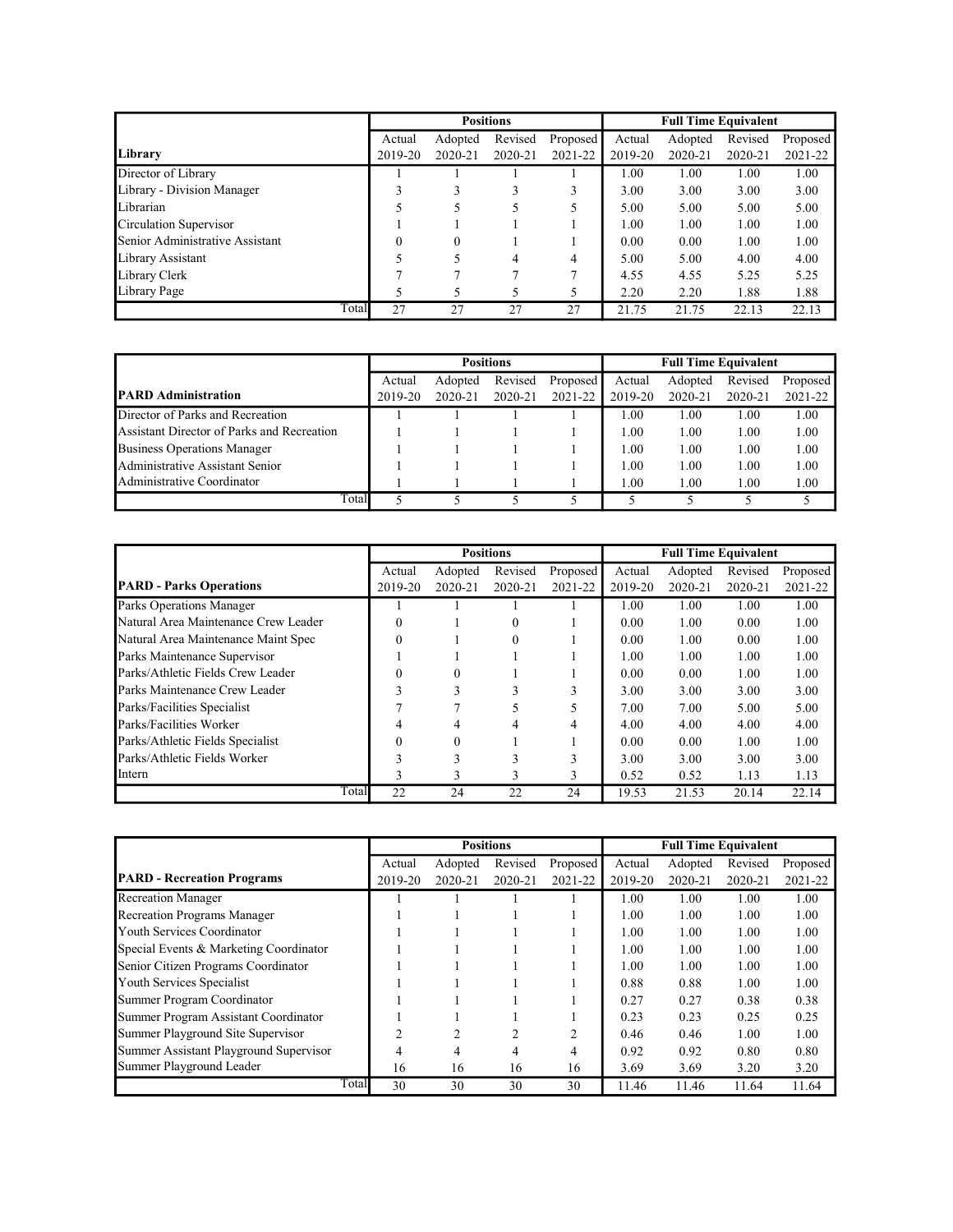|                                 |         |             | <b>Positions</b> |          |         | <b>Full Time Equivalent</b> |         |          |
|---------------------------------|---------|-------------|------------------|----------|---------|-----------------------------|---------|----------|
|                                 | Actual  | Adopted     | Revised          | Proposed | Actual  | Adopted                     | Revised | Proposed |
| Library                         | 2019-20 | $2020 - 21$ | $2020 - 21$      | 2021-22  | 2019-20 | $2020 - 21$                 | 2020-21 | 2021-22  |
| Director of Library             |         |             |                  |          | 1.00    | 1.00                        | 1.00    | 1.00     |
| Library - Division Manager      |         |             | 3                | 3        | 3.00    | 3.00                        | 3.00    | 3.00     |
| Librarian                       |         |             |                  |          | 5.00    | 5.00                        | 5.00    | 5.00     |
| Circulation Supervisor          |         |             |                  |          | 1.00    | 1.00                        | 1.00    | 1.00     |
| Senior Administrative Assistant |         | $\Omega$    |                  |          | 0.00    | 0.00                        | 1.00    | 1.00     |
| Library Assistant               |         |             | 4                | 4        | 5.00    | 5.00                        | 4.00    | 4.00     |
| Library Clerk                   |         |             |                  |          | 4.55    | 4.55                        | 5.25    | 5.25     |
| Library Page                    |         |             |                  |          | 2.20    | 2.20                        | 1.88    | 1.88     |
| Total                           | 27      | 27          | 27               | 27       | 21.75   | 21.75                       | 22.13   | 22.13    |

|                                            |         |         | <b>Positions</b> |          | <b>Full Time Equivalent</b> |         |         |          |  |
|--------------------------------------------|---------|---------|------------------|----------|-----------------------------|---------|---------|----------|--|
|                                            | Actual  | Adopted | Revised          | Proposed | Actual                      | Adopted | Revised | Proposed |  |
| <b>IPARD Administration</b>                | 2019-20 | 2020-21 | 2020-21          | 2021-22  | 2019-20                     | 2020-21 | 2020-21 | 2021-22  |  |
| Director of Parks and Recreation           |         |         |                  |          | 1.00                        | 1.00    | 1.00    | 1.00     |  |
| Assistant Director of Parks and Recreation |         |         |                  |          | 1.00                        | 1.00    | 1.00    | 1.00     |  |
| <b>Business Operations Manager</b>         |         |         |                  |          | 1.00                        | 1.00    | 1.00    | 1.00     |  |
| Administrative Assistant Senior            |         |         |                  |          | 1.00                        | 1.00    | 1.00    | 1.00     |  |
| Administrative Coordinator                 |         |         |                  |          | 1.00                        | 1.00    | 1.00    | 1.00     |  |
| Total                                      |         |         |                  |          |                             |         |         |          |  |

|                                      |          |          | <b>Positions</b> |          |         | <b>Full Time Equivalent</b> |         |          |
|--------------------------------------|----------|----------|------------------|----------|---------|-----------------------------|---------|----------|
|                                      | Actual   | Adopted  | Revised          | Proposed | Actual  | Adopted                     | Revised | Proposed |
| <b>PARD - Parks Operations</b>       | 2019-20  | 2020-21  | 2020-21          | 2021-22  | 2019-20 | 2020-21                     | 2020-21 | 2021-22  |
| Parks Operations Manager             |          |          |                  |          | 1.00    | 1.00                        | 1.00    | 1.00     |
| Natural Area Maintenance Crew Leader | $\theta$ |          | 0                |          | 0.00    | 1.00                        | 0.00    | 1.00     |
| Natural Area Maintenance Maint Spec  | $\Omega$ |          | 0                |          | 0.00    | 1.00                        | 0.00    | 1.00     |
| Parks Maintenance Supervisor         |          |          |                  |          | 1.00    | 1.00                        | 1.00    | 1.00     |
| Parks/Athletic Fields Crew Leader    | $\Omega$ | $\Omega$ |                  |          | 0.00    | 0.00                        | 1.00    | 1.00     |
| Parks Maintenance Crew Leader        | ◠        | 3        |                  | 3        | 3.00    | 3.00                        | 3.00    | 3.00     |
| Parks/Facilities Specialist          |          |          |                  | 5        | 7.00    | 7.00                        | 5.00    | 5.00     |
| Parks/Facilities Worker              |          |          |                  | 4        | 4.00    | 4.00                        | 4.00    | 4.00     |
| Parks/Athletic Fields Specialist     | 0        | $\Omega$ |                  |          | 0.00    | 0.00                        | 1.00    | 1.00     |
| Parks/Athletic Fields Worker         |          |          |                  |          | 3.00    | 3.00                        | 3.00    | 3.00     |
| Intern                               |          | 3        | 3                | 3        | 0.52    | 0.52                        | 1.13    | 1.13     |
| Total                                | 22       | 24       | 22               | 24       | 19.53   | 21.53                       | 20.14   | 22.14    |

|                                        |         |         | <b>Positions</b> |                |         | <b>Full Time Equivalent</b> |         |          |
|----------------------------------------|---------|---------|------------------|----------------|---------|-----------------------------|---------|----------|
|                                        | Actual  | Adopted | Revised          | Proposed       | Actual  | Adopted                     | Revised | Proposed |
| <b>PARD</b> - Recreation Programs      | 2019-20 | 2020-21 | 2020-21          | 2021-22        | 2019-20 | $2020 - 21$                 | 2020-21 | 2021-22  |
| <b>Recreation Manager</b>              |         |         |                  |                | 1.00    | 1.00                        | 1.00    | 1.00     |
| <b>Recreation Programs Manager</b>     |         |         |                  |                | 1.00    | 1.00                        | 1.00    | 1.00     |
| Youth Services Coordinator             |         |         |                  |                | 1.00    | 1.00                        | 1.00    | 1.00     |
| Special Events & Marketing Coordinator |         |         |                  |                | 1.00    | 1.00                        | 1.00    | 1.00     |
| Senior Citizen Programs Coordinator    |         |         |                  |                | 1.00    | 1.00                        | 1.00    | 1.00     |
| Youth Services Specialist              |         |         |                  |                | 0.88    | 0.88                        | 1.00    | 1.00     |
| Summer Program Coordinator             |         |         |                  |                | 0.27    | 0.27                        | 0.38    | 0.38     |
| Summer Program Assistant Coordinator   |         |         |                  |                | 0.23    | 0.23                        | 0.25    | 0.25     |
| Summer Playground Site Supervisor      | ∍       |         |                  | $\overline{c}$ | 0.46    | 0.46                        | 1.00    | 1.00     |
| Summer Assistant Playground Supervisor |         |         |                  | 4              | 0.92    | 0.92                        | 0.80    | 0.80     |
| Summer Playground Leader               | 16      | 16      | 16               | 16             | 3.69    | 3.69                        | 3.20    | 3.20     |
| Total                                  | 30      | 30      | 30               | 30             | 11.46   | 11.46                       | 11.64   | 11.64    |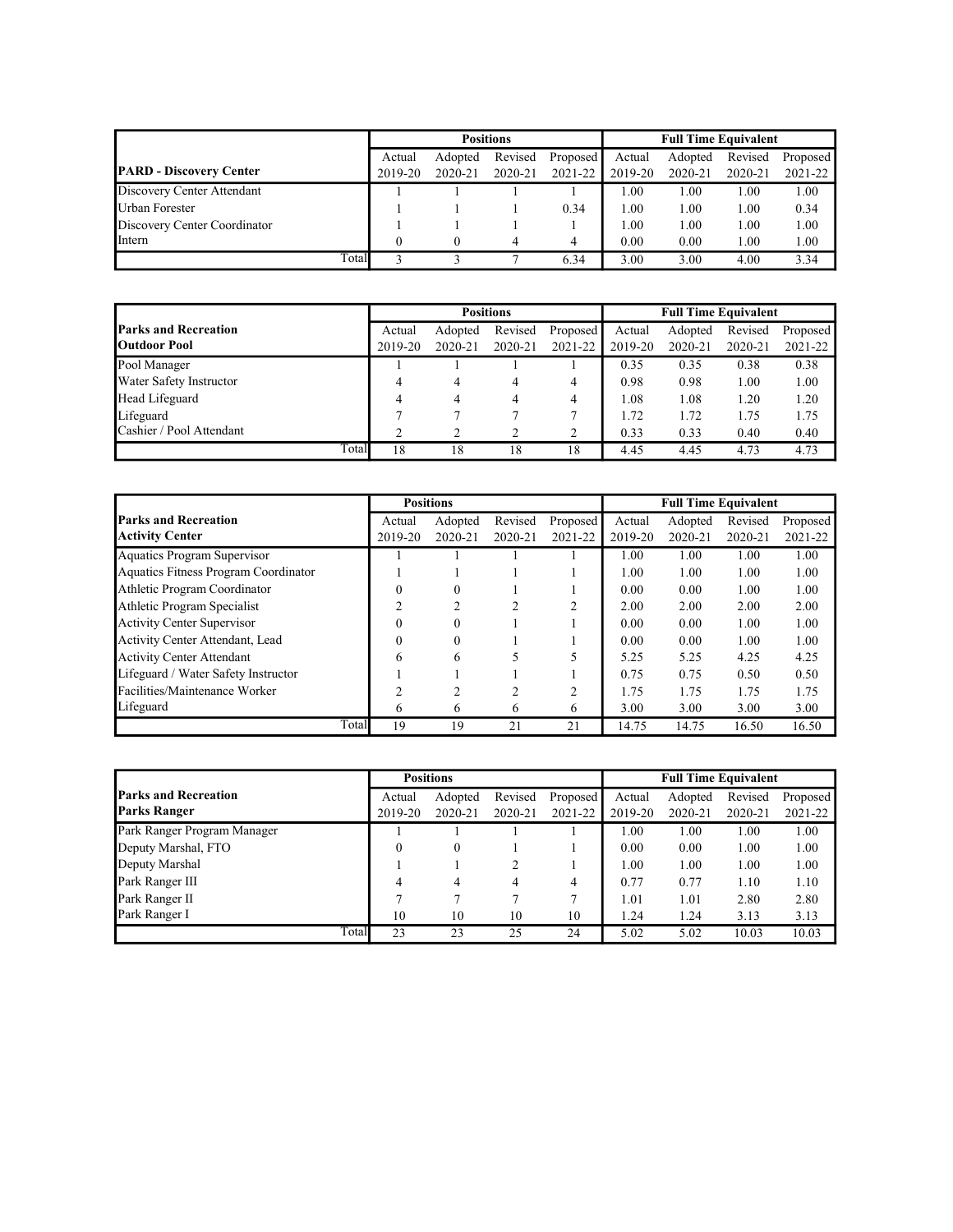|                                |       |                                          |         | <b>Positions</b> |         | <b>Full Time Equivalent</b> |             |         |             |
|--------------------------------|-------|------------------------------------------|---------|------------------|---------|-----------------------------|-------------|---------|-------------|
|                                |       | Revised<br>Adopted<br>Proposed<br>Actual |         |                  |         | Actual                      | Adopted     | Revised | Proposed    |
| <b>PARD</b> - Discovery Center |       | 2019-20                                  | 2020-21 | 2020-21          | 2021-22 | 2019-20                     | $2020 - 21$ | 2020-21 | $2021 - 22$ |
| Discovery Center Attendant     |       |                                          |         |                  |         | 1.00                        | 1.00        | 1.00    | 1.00        |
| Urban Forester                 |       |                                          |         |                  | 0.34    | 1.00                        | 1.00        | 1.00    | 0.34        |
| Discovery Center Coordinator   |       |                                          |         |                  |         | 1.00                        | 1.00        | 1.00    | 1.00        |
| Intern                         |       |                                          |         |                  | 4       | 0.00                        | 0.00        | 1.00    | 1.00        |
|                                | Total |                                          |         |                  | 6.34    | 3.00                        | 3.00        | 4.00    | 3.34        |

|                             |       |         |         | <b>Positions</b> |          | <b>Full Time Equivalent</b> |         |         |          |  |
|-----------------------------|-------|---------|---------|------------------|----------|-----------------------------|---------|---------|----------|--|
| <b>Parks and Recreation</b> |       | Actual  | Adopted | Revised          | Proposed | Actual                      | Adopted | Revised | Proposed |  |
| <b>Outdoor Pool</b>         |       | 2019-20 | 2020-21 | 2020-21          | 2021-22  | 2019-20                     | 2020-21 | 2020-21 | 2021-22  |  |
| Pool Manager                |       |         |         |                  |          | 0.35                        | 0.35    | 0.38    | 0.38     |  |
| Water Safety Instructor     |       | 4       | 4       | 4                | 4        | 0.98                        | 0.98    | 1.00    | 1.00     |  |
| Head Lifeguard              |       | 4       | 4       | 4                | 4        | 1.08                        | 1.08    | 1.20    | 1.20     |  |
| Lifeguard                   |       |         |         |                  |          | 1.72                        | 1.72    | 1.75    | 1.75     |  |
| Cashier / Pool Attendant    |       | ◠       |         |                  | 2        | 0.33                        | 0.33    | 0.40    | 0.40     |  |
|                             | Total | 18      | 18      | 18               | 18       | 4.45                        | 4.45    | 4.73    | 4.73     |  |

|                                      |          | <b>Positions</b> |         |          |         | <b>Full Time Equivalent</b> |         |          |
|--------------------------------------|----------|------------------|---------|----------|---------|-----------------------------|---------|----------|
| <b>Parks and Recreation</b>          | Actual   | Adopted          | Revised | Proposed | Actual  | Adopted                     | Revised | Proposed |
| <b>Activity Center</b>               | 2019-20  | 2020-21          | 2020-21 | 2021-22  | 2019-20 | $2020 - 21$                 | 2020-21 | 2021-22  |
| Aquatics Program Supervisor          |          |                  |         |          | 1.00    | 1.00                        | 1.00    | 1.00     |
| Aquatics Fitness Program Coordinator |          |                  |         |          | 1.00    | 1.00                        | 1.00    | 1.00     |
| Athletic Program Coordinator         | 0        | $\Omega$         |         |          | 0.00    | 0.00                        | 1.00    | 1.00     |
| Athletic Program Specialist          |          |                  |         |          | 2.00    | 2.00                        | 2.00    | 2.00     |
| <b>Activity Center Supervisor</b>    | $\Omega$ | $\theta$         |         |          | 0.00    | 0.00                        | 1.00    | 1.00     |
| Activity Center Attendant, Lead      | $\Omega$ | $\Omega$         |         |          | 0.00    | 0.00                        | 1.00    | 1.00     |
| <b>Activity Center Attendant</b>     | 6        | 6                |         |          | 5.25    | 5.25                        | 4.25    | 4.25     |
| Lifeguard / Water Safety Instructor  |          |                  |         |          | 0.75    | 0.75                        | 0.50    | 0.50     |
| Facilities/Maintenance Worker        |          |                  |         | C        | 1.75    | 1.75                        | 1.75    | 1.75     |
| Lifeguard                            | 6        | 6                | 6       | 6        | 3.00    | 3.00                        | 3.00    | 3.00     |
| Total                                | 19       | 19               | 21      | 21       | 14.75   | 14.75                       | 16.50   | 16.50    |

|                             |       |          | <b>Positions</b> |         |          | <b>Full Time Equivalent</b> |         |         |          |
|-----------------------------|-------|----------|------------------|---------|----------|-----------------------------|---------|---------|----------|
| <b>Parks and Recreation</b> |       | Actual   | Adopted          | Revised | Proposed | Actual                      | Adopted | Revised | Proposed |
| <b>Parks Ranger</b>         |       | 2019-20  | 2020-21          | 2020-21 | 2021-22  | 2019-20                     | 2020-21 | 2020-21 | 2021-22  |
| Park Ranger Program Manager |       |          |                  |         |          | 1.00                        | 1.00    | 1.00    | 1.00     |
| Deputy Marshal, FTO         |       | $\theta$ | $\boldsymbol{0}$ |         |          | 0.00                        | 0.00    | 1.00    | 1.00     |
| Deputy Marshal              |       |          |                  |         |          | 1.00                        | 1.00    | 1.00    | 1.00     |
| Park Ranger III             |       | 4        | 4                | 4       | 4        | 0.77                        | 0.77    | 1.10    | 1.10     |
| Park Ranger II              |       |          |                  |         |          | 1.01                        | 1.01    | 2.80    | 2.80     |
| Park Ranger I               |       | 10       | 10               | 10      | 10       | 1.24                        | 1.24    | 3.13    | 3.13     |
|                             | Total | 23       | 23               | 25      | 24       | 5.02                        | 5.02    | 10.03   | 10.03    |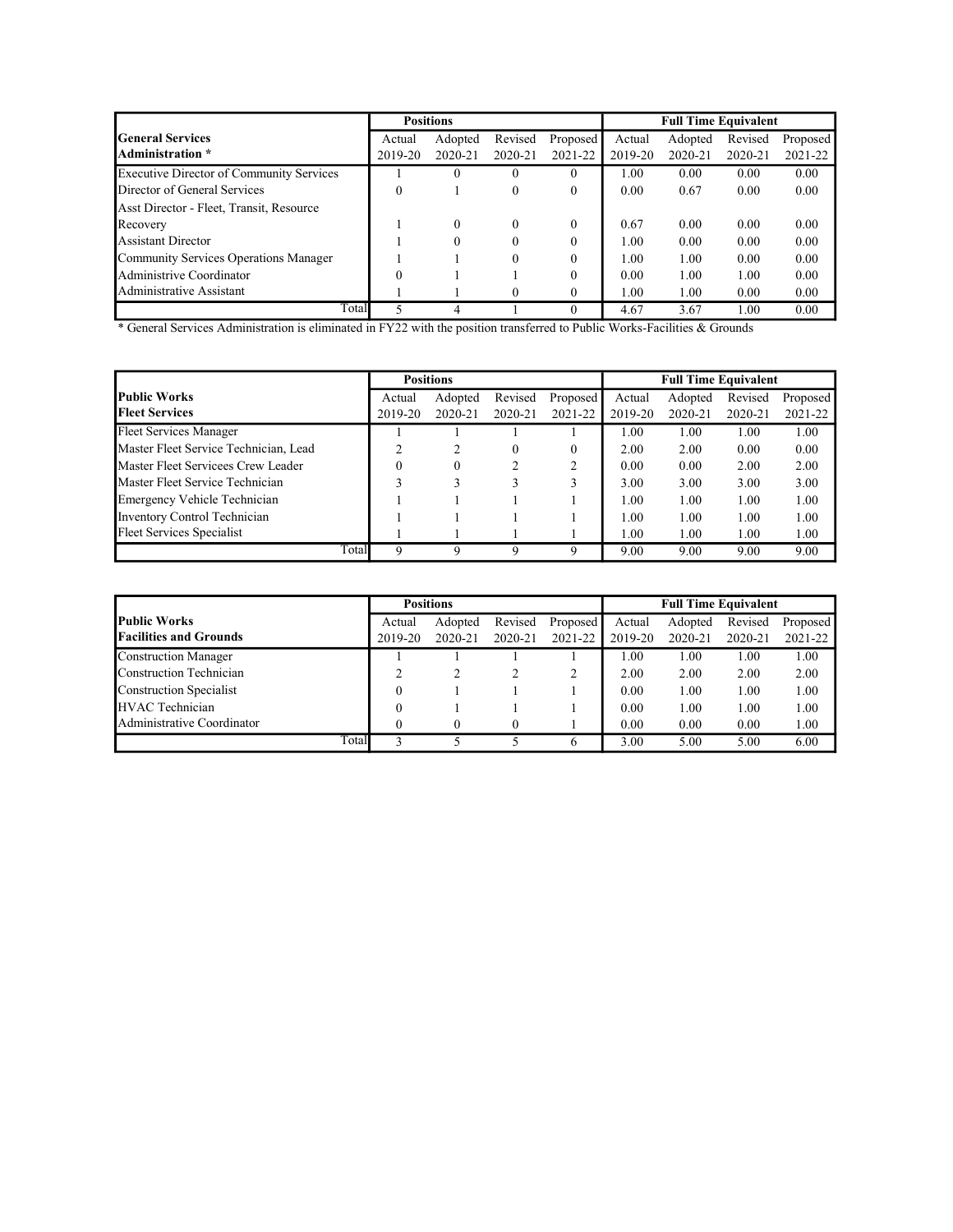|                                                 |          | <b>Positions</b> |              |                  | <b>Full Time Equivalent</b> |         |         |          |  |
|-------------------------------------------------|----------|------------------|--------------|------------------|-----------------------------|---------|---------|----------|--|
| lGeneral Services                               | Actual   | Adopted          | Revised      | Proposed         | Actual                      | Adopted | Revised | Proposed |  |
| Administration *                                | 2019-20  | 2020-21          | 2020-21      | 2021-22          | 2019-20                     | 2020-21 | 2020-21 | 2021-22  |  |
| <b>Executive Director of Community Services</b> |          | $\theta$         | $\theta$     | $\theta$         | 1.00                        | 0.00    | 0.00    | 0.00     |  |
| Director of General Services                    | $\Omega$ |                  | $\mathbf{0}$ | $\boldsymbol{0}$ | 0.00                        | 0.67    | 0.00    | 0.00     |  |
| Asst Director - Fleet, Transit, Resource        |          |                  |              |                  |                             |         |         |          |  |
| Recovery                                        |          | $\Omega$         | $\Omega$     | $\theta$         | 0.67                        | 0.00    | 0.00    | 0.00     |  |
| <b>Assistant Director</b>                       |          | $\Omega$         | $\Omega$     | $\theta$         | 1.00                        | 0.00    | 0.00    | 0.00     |  |
| Community Services Operations Manager           |          |                  | $\Omega$     | $\theta$         | 1.00                        | 1.00    | 0.00    | 0.00     |  |
| Administrive Coordinator                        | $\Omega$ |                  |              | $\theta$         | 0.00                        | 1.00    | 1.00    | 0.00     |  |
| Administrative Assistant                        |          |                  |              | $\theta$         | 1.00                        | 1.00    | 0.00    | 0.00     |  |
| Total                                           |          |                  |              | $\theta$         | 4.67                        | 3.67    | 1.00    | 0.00     |  |

\* General Services Administration is eliminated in FY22 with the position transferred to Public Works-Facilities & Grounds

|                                       |         | <b>Positions</b> |         |          |         | <b>Full Time Equivalent</b> |         |          |
|---------------------------------------|---------|------------------|---------|----------|---------|-----------------------------|---------|----------|
| <b>Public Works</b>                   | Actual  | Adopted          | Revised | Proposed | Actual  | Adopted                     | Revised | Proposed |
| <b>Fleet Services</b>                 | 2019-20 | 2020-21          | 2020-21 | 2021-22  | 2019-20 | $2020 - 21$                 | 2020-21 | 2021-22  |
| Fleet Services Manager                |         |                  |         |          | 1.00    | 1.00                        | 1.00    | 1.00     |
| Master Fleet Service Technician, Lead |         |                  | 0       | $\Omega$ | 2.00    | 2.00                        | 0.00    | 0.00     |
| Master Fleet Servicees Crew Leader    |         | $\Omega$         |         | ↑        | 0.00    | 0.00                        | 2.00    | 2.00     |
| Master Fleet Service Technician       |         |                  |         |          | 3.00    | 3.00                        | 3.00    | 3.00     |
| Emergency Vehicle Technician          |         |                  |         |          | 1.00    | 1.00                        | 1.00    | 1.00     |
| Inventory Control Technician          |         |                  |         |          | 1.00    | 1.00                        | 1.00    | 1.00     |
| Fleet Services Specialist             |         |                  |         |          | 1.00    | 1.00                        | 1.00    | 1.00     |
| Total                                 | Q       |                  | q       | 9        | 9.00    | 9.00                        | 9.00    | 9.00     |

|                                |         | <b>Positions</b> |         |          | <b>Full Time Equivalent</b> |             |         |          |  |
|--------------------------------|---------|------------------|---------|----------|-----------------------------|-------------|---------|----------|--|
| <b>Public Works</b>            | Actual  | Adopted          | Revised | Proposed | Actual                      | Adopted     | Revised | Proposed |  |
| <b>Facilities and Grounds</b>  | 2019-20 | 2020-21          | 2020-21 | 2021-22  | 2019-20                     | $2020 - 21$ | 2020-21 | 2021-22  |  |
| <b>Construction Manager</b>    |         |                  |         |          | 1.00                        | 1.00        | 1.00    | 1.00     |  |
| Construction Technician        |         |                  |         |          | 2.00                        | 2.00        | 2.00    | 2.00     |  |
| <b>Construction Specialist</b> |         |                  |         |          | 0.00                        | 1.00        | 1.00    | 1.00     |  |
| <b>HVAC</b> Technician         |         |                  |         |          | 0.00                        | 1.00        | 1.00    | 1.00     |  |
| Administrative Coordinator     |         |                  |         |          | 0.00                        | 0.00        | 0.00    | 1.00     |  |
| Total                          |         |                  |         | b        | 3.00                        | 5.00        | 5.00    | 6.00     |  |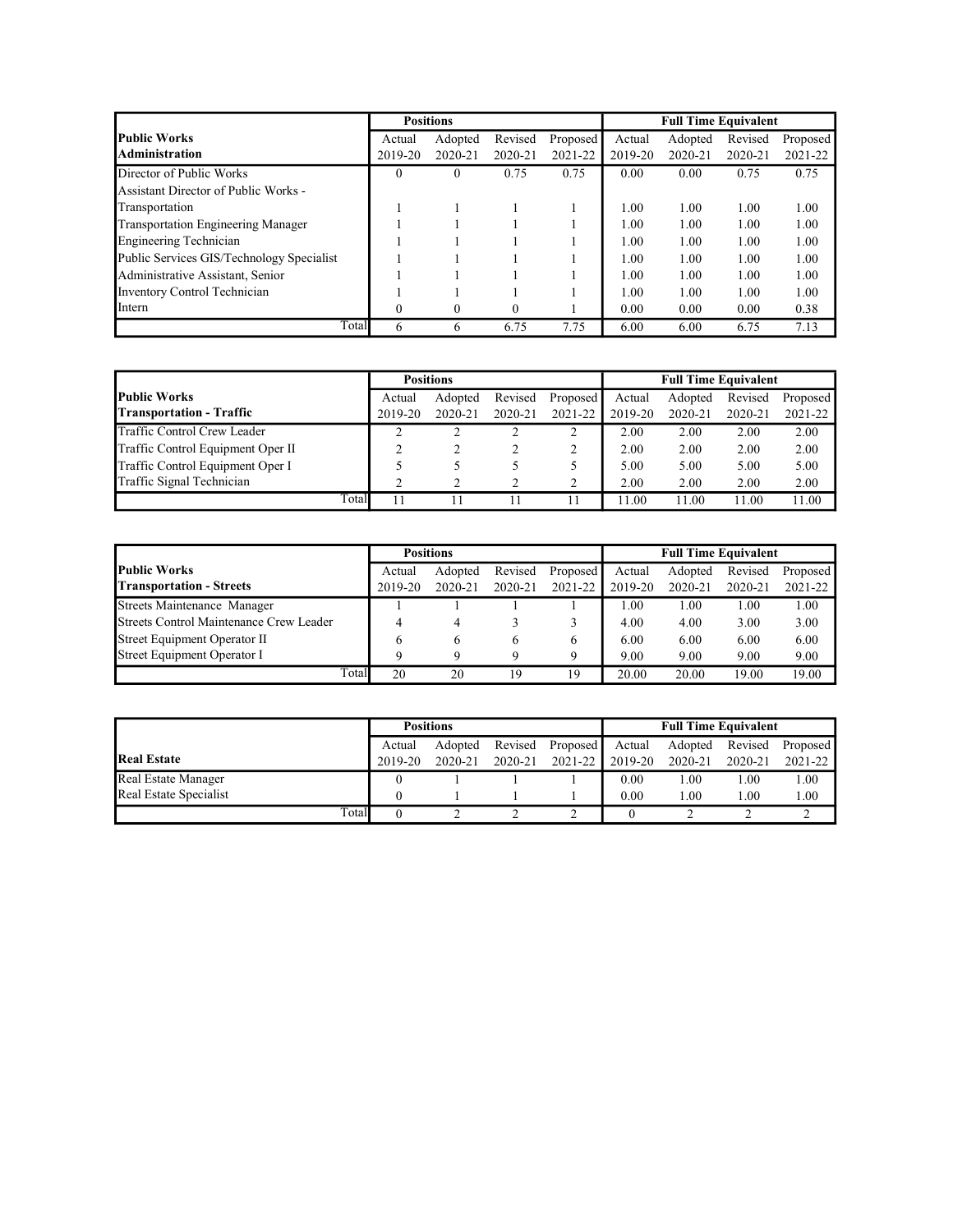|                                           |          | <b>Positions</b> |          |          |         | <b>Full Time Equivalent</b> |         |          |
|-------------------------------------------|----------|------------------|----------|----------|---------|-----------------------------|---------|----------|
| <b>Public Works</b>                       | Actual   | Adopted          | Revised  | Proposed | Actual  | Adopted                     | Revised | Proposed |
| Administration                            | 2019-20  | 2020-21          | 2020-21  | 2021-22  | 2019-20 | 2020-21                     | 2020-21 | 2021-22  |
| Director of Public Works                  | $\Omega$ | $\Omega$         | 0.75     | 0.75     | 0.00    | 0.00                        | 0.75    | 0.75     |
| Assistant Director of Public Works -      |          |                  |          |          |         |                             |         |          |
| Transportation                            |          |                  |          |          | 1.00    | 1.00                        | 1.00    | 1.00     |
| <b>Transportation Engineering Manager</b> |          |                  |          |          | 1.00    | 1.00                        | 1.00    | 1.00     |
| <b>Engineering Technician</b>             |          |                  |          |          | 1.00    | 1.00                        | 1.00    | 1.00     |
| Public Services GIS/Technology Specialist |          |                  |          |          | 1.00    | 1.00                        | 1.00    | 1.00     |
| Administrative Assistant, Senior          |          |                  |          |          | 1.00    | 1.00                        | 1.00    | 1.00     |
| <b>Inventory Control Technician</b>       |          |                  |          |          | 1.00    | 1.00                        | 1.00    | 1.00     |
| Intern                                    | $\Omega$ | $\Omega$         | $\Omega$ |          | 0.00    | 0.00                        | 0.00    | 0.38     |
| Total                                     | 6        | 6                | 6.75     | 7.75     | 6.00    | 6.00                        | 6.75    | 7.13     |

|                                   |       |         | <b>Positions</b> |         |          | <b>Full Time Equivalent</b> |         |         |          |  |
|-----------------------------------|-------|---------|------------------|---------|----------|-----------------------------|---------|---------|----------|--|
| <b>Public Works</b>               |       | Actual  | Adopted          | Revised | Proposed | Actual                      | Adopted | Revised | Proposed |  |
| <b>Transportation - Traffic</b>   |       | 2019-20 | 2020-21          | 2020-21 | 2021-22  | 2019-20                     | 2020-21 | 2020-21 | 2021-22  |  |
| Traffic Control Crew Leader       |       |         |                  |         |          | 2.00                        | 2.00    | 2.00    | 2.00     |  |
| Traffic Control Equipment Oper II |       |         |                  |         |          | 2.00                        | 2.00    | 2.00    | 2.00     |  |
| Traffic Control Equipment Oper I  |       |         |                  |         |          | 5.00                        | 5.00    | 5.00    | 5.00     |  |
| Traffic Signal Technician         |       |         |                  |         |          | 2.00                        | 2.00    | 2.00    | 2.00     |  |
|                                   | Total |         |                  |         |          | 1.00                        | 11.00   | 1.00    | 11.00    |  |

|                                         |         | <b>Positions</b> |         |              | <b>Full Time Equivalent</b> |             |         |          |  |
|-----------------------------------------|---------|------------------|---------|--------------|-----------------------------|-------------|---------|----------|--|
| <b>Public Works</b>                     | Actual  | Adopted          | Revised | Proposed     | Actual                      | Adopted     | Revised | Proposed |  |
| <b>Transportation - Streets</b>         | 2019-20 | 2020-21          | 2020-21 | 2021-22      | 2019-20                     | $2020 - 21$ | 2020-21 | 2021-22  |  |
| Streets Maintenance Manager             |         |                  |         |              | 1.00                        | 1.00        | 1.00    | 1.00     |  |
| Streets Control Maintenance Crew Leader |         |                  |         |              | 4.00                        | 4.00        | 3.00    | 3.00     |  |
| Street Equipment Operator II            |         | <sub>(b)</sub>   |         | <sub>0</sub> | 6.00                        | 6.00        | 6.00    | 6.00     |  |
| Street Equipment Operator I             |         |                  |         |              | 9.00                        | 9.00        | 9.00    | 9.00     |  |
| Total                                   | 20      | 20               | 19      | 19           | 20.00                       | 20.00       | 19.00   | 19.00    |  |

|                        | <b>Positions</b> |                    |         |             | <b>Full Time Equivalent</b> |         |         |             |
|------------------------|------------------|--------------------|---------|-------------|-----------------------------|---------|---------|-------------|
|                        | Actual           | Revised<br>Adopted |         |             | Proposed I<br>Actual        | Adopted | Revised | Proposed    |
| <b>Real Estate</b>     | 2019-20          | 2020-21            | 2020-21 | $2021 - 22$ | 2019-20                     | 2020-21 | 2020-21 | $2021 - 22$ |
| Real Estate Manager    |                  |                    |         |             | 0.00                        | 1.00    | 1.00    | 1.00        |
| Real Estate Specialist |                  |                    |         |             | 0.00                        | 1.00    | 1.00    | 1.00        |
| Total                  |                  |                    |         |             |                             |         |         |             |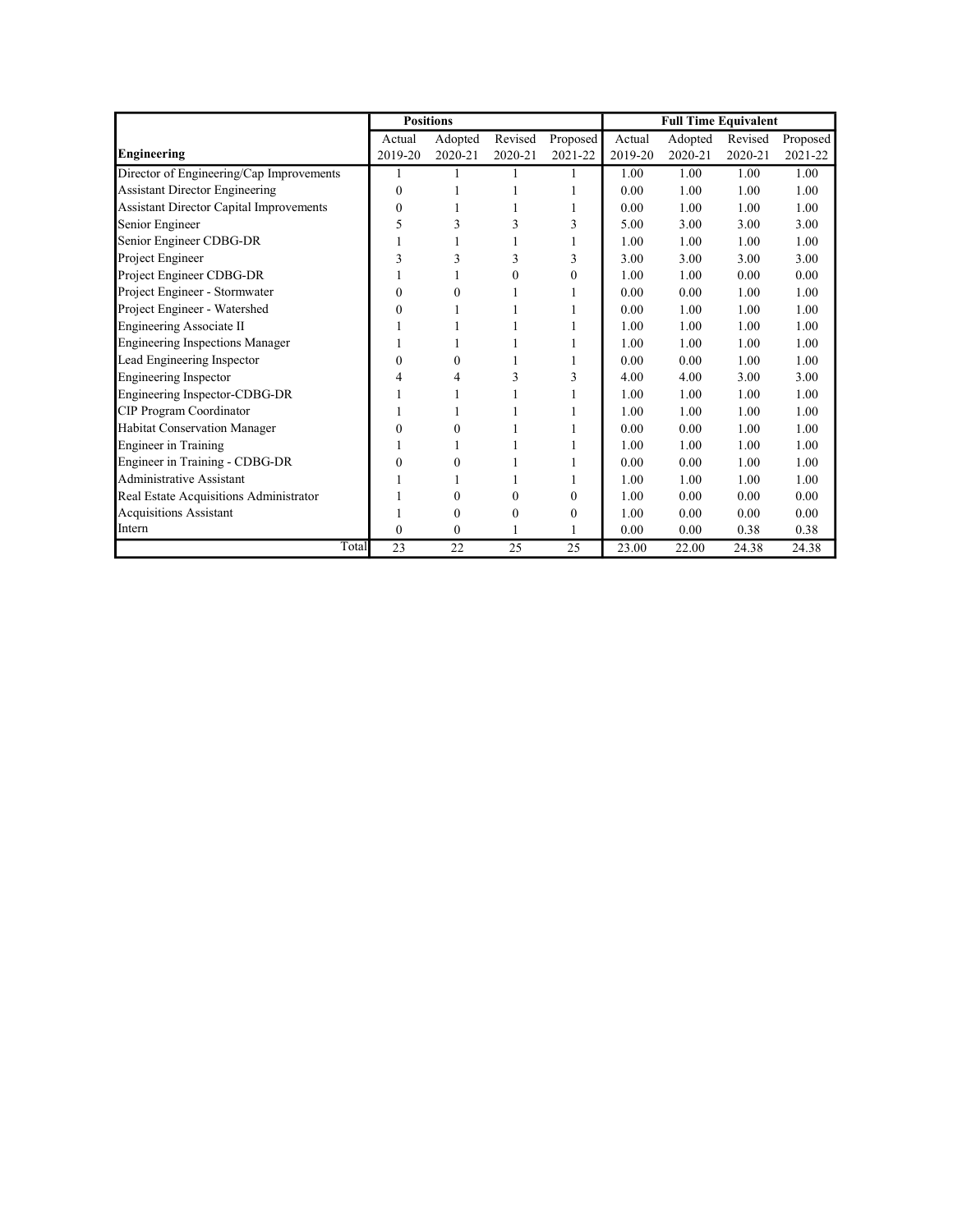|                                                |          | <b>Positions</b> |         |          |         | <b>Full Time Equivalent</b> |         |          |
|------------------------------------------------|----------|------------------|---------|----------|---------|-----------------------------|---------|----------|
|                                                | Actual   | Adopted          | Revised | Proposed | Actual  | Adopted                     | Revised | Proposed |
| <b>Engineering</b>                             | 2019-20  | 2020-21          | 2020-21 | 2021-22  | 2019-20 | 2020-21                     | 2020-21 | 2021-22  |
| Director of Engineering/Cap Improvements       |          |                  |         |          | 1.00    | 1.00                        | 1.00    | 1.00     |
| <b>Assistant Director Engineering</b>          | 0        |                  |         |          | 0.00    | 1.00                        | 1.00    | 1.00     |
| <b>Assistant Director Capital Improvements</b> | 0        |                  |         |          | 0.00    | 1.00                        | 1.00    | 1.00     |
| Senior Engineer                                | 5        | 3                | 3       | 3        | 5.00    | 3.00                        | 3.00    | 3.00     |
| Senior Engineer CDBG-DR                        |          |                  |         |          | 1.00    | 1.00                        | 1.00    | 1.00     |
| Project Engineer                               | 3        | 3                | 3       | 3        | 3.00    | 3.00                        | 3.00    | 3.00     |
| Project Engineer CDBG-DR                       |          |                  | 0       | 0        | 1.00    | 1.00                        | 0.00    | 0.00     |
| Project Engineer - Stormwater                  | 0        | 0                |         |          | 0.00    | 0.00                        | 1.00    | 1.00     |
| Project Engineer - Watershed                   | 0        |                  |         |          | 0.00    | 1.00                        | 1.00    | 1.00     |
| Engineering Associate II                       |          |                  |         |          | 1.00    | 1.00                        | 1.00    | 1.00     |
| <b>Engineering Inspections Manager</b>         |          |                  |         |          | 1.00    | 1.00                        | 1.00    | 1.00     |
| Lead Engineering Inspector                     | $\theta$ | $\theta$         |         |          | 0.00    | 0.00                        | 1.00    | 1.00     |
| <b>Engineering Inspector</b>                   | 4        | 4                | 3       | 3        | 4.00    | 4.00                        | 3.00    | 3.00     |
| Engineering Inspector-CDBG-DR                  |          |                  |         |          | 1.00    | 1.00                        | 1.00    | 1.00     |
| CIP Program Coordinator                        |          |                  |         |          | 1.00    | 1.00                        | 1.00    | 1.00     |
| Habitat Conservation Manager                   | 0        | $\theta$         |         |          | 0.00    | 0.00                        | 1.00    | 1.00     |
| <b>Engineer</b> in Training                    |          |                  |         |          | 1.00    | 1.00                        | 1.00    | 1.00     |
| Engineer in Training - CDBG-DR                 | 0        | $\theta$         |         |          | 0.00    | 0.00                        | 1.00    | 1.00     |
| Administrative Assistant                       |          |                  |         |          | 1.00    | 1.00                        | 1.00    | 1.00     |
| Real Estate Acquisitions Administrator         |          | $\Omega$         | 0       | 0        | 1.00    | 0.00                        | 0.00    | 0.00     |
| <b>Acquisitions Assistant</b>                  |          | $\Omega$         | 0       | 0        | 1.00    | 0.00                        | 0.00    | 0.00     |
| Intern                                         | 0        | $\mathbf{0}$     |         |          | 0.00    | 0.00                        | 0.38    | 0.38     |
| Total                                          | 23       | 22               | 25      | 25       | 23.00   | 22.00                       | 24.38   | 24.38    |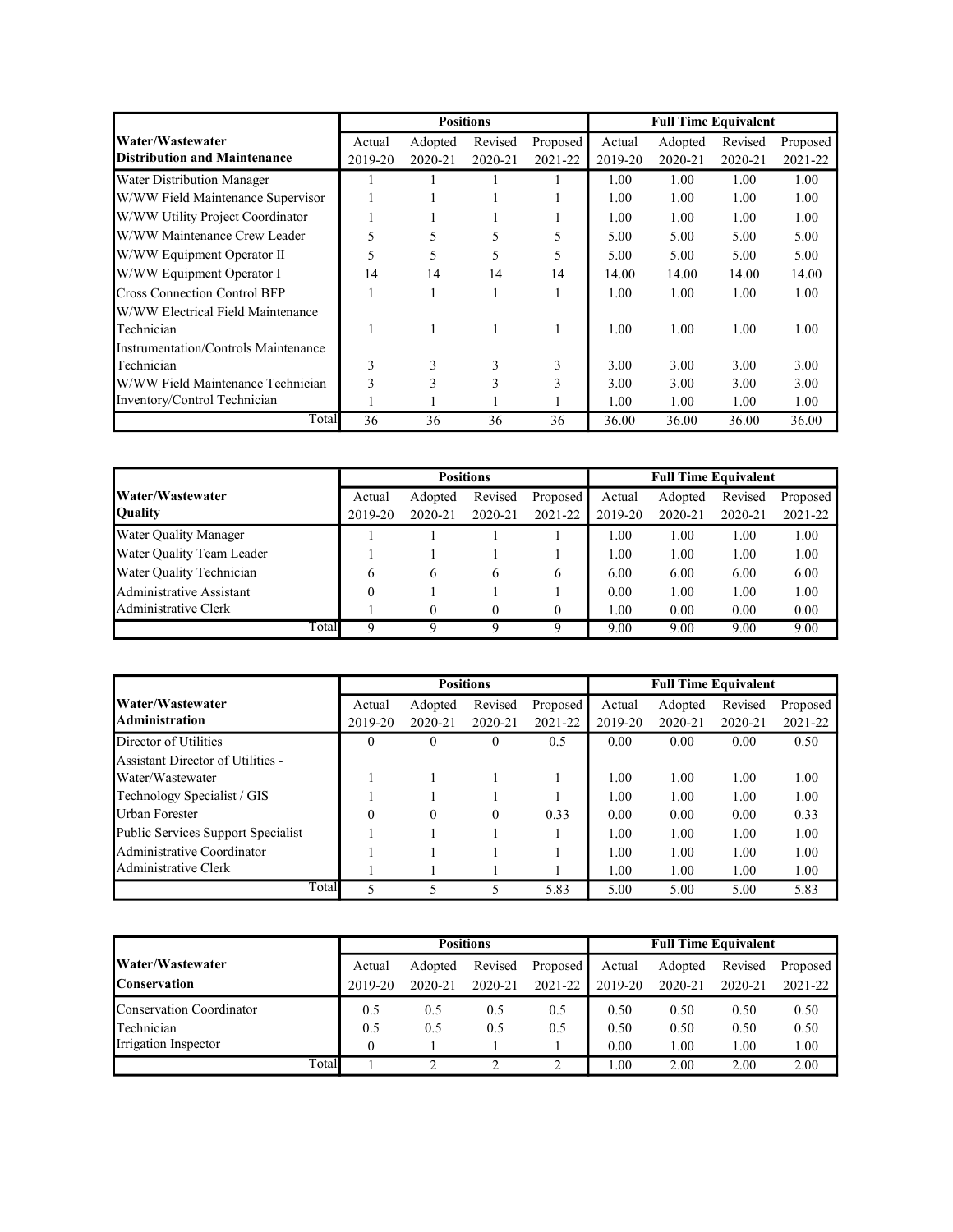|                                      |         |         | <b>Positions</b> |          |         | <b>Full Time Equivalent</b> |         |          |
|--------------------------------------|---------|---------|------------------|----------|---------|-----------------------------|---------|----------|
| Water/Wastewater                     | Actual  | Adopted | Revised          | Proposed | Actual  | Adopted                     | Revised | Proposed |
| <b>Distribution and Maintenance</b>  | 2019-20 | 2020-21 | 2020-21          | 2021-22  | 2019-20 | 2020-21                     | 2020-21 | 2021-22  |
| Water Distribution Manager           |         |         |                  |          | 1.00    | 1.00                        | 1.00    | 1.00     |
| W/WW Field Maintenance Supervisor    |         |         |                  |          | 1.00    | 1.00                        | 1.00    | 1.00     |
| W/WW Utility Project Coordinator     |         |         |                  |          | 1.00    | 1.00                        | 1.00    | 1.00     |
| W/WW Maintenance Crew Leader         | 5       | 5       | 5                | 5        | 5.00    | 5.00                        | 5.00    | 5.00     |
| W/WW Equipment Operator II           | 5       | 5       | 5                | 5        | 5.00    | 5.00                        | 5.00    | 5.00     |
| W/WW Equipment Operator I            | 14      | 14      | 14               | 14       | 14.00   | 14.00                       | 14.00   | 14.00    |
| <b>Cross Connection Control BFP</b>  |         |         |                  |          | 1.00    | 1.00                        | 1.00    | 1.00     |
| W/WW Electrical Field Maintenance    |         |         |                  |          |         |                             |         |          |
| Technician                           |         |         |                  |          | 1.00    | 1.00                        | 1.00    | 1.00     |
| Instrumentation/Controls Maintenance |         |         |                  |          |         |                             |         |          |
| Technician                           | 3       | 3       | 3                | 3        | 3.00    | 3.00                        | 3.00    | 3.00     |
| W/WW Field Maintenance Technician    | 3       | 3       | 3                | 3        | 3.00    | 3.00                        | 3.00    | 3.00     |
| Inventory/Control Technician         |         |         |                  |          | 1.00    | 1.00                        | 1.00    | 1.00     |
| Total                                | 36      | 36      | 36               | 36       | 36.00   | 36.00                       | 36.00   | 36.00    |

|                              |         |         | <b>Positions</b> |          |         | <b>Full Time Equivalent</b> |         |          |
|------------------------------|---------|---------|------------------|----------|---------|-----------------------------|---------|----------|
| Water/Wastewater             | Actual  | Adopted | Revised          | Proposed | Actual  | Adopted                     | Revised | Proposed |
| <b>Quality</b>               | 2019-20 | 2020-21 | 2020-21          | 2021-22  | 2019-20 | 2020-21                     | 2020-21 | 2021-22  |
| <b>Water Quality Manager</b> |         |         |                  |          | 1.00    | 1.00                        | 1.00    | 1.00     |
| Water Quality Team Leader    |         |         |                  |          | 1.00    | 1.00                        | 1.00    | 1.00     |
| Water Quality Technician     | 6       | 6       | <sub>6</sub>     | 6        | 6.00    | 6.00                        | 6.00    | 6.00     |
| Administrative Assistant     | 0       |         |                  |          | 0.00    | 1.00                        | 1.00    | 1.00     |
| Administrative Clerk         |         | 0       |                  | $\theta$ | 1.00    | 0.00                        | 0.00    | 0.00     |
| Total                        | Q       |         |                  | Q        | 9.00    | 9.00                        | 9.00    | 9.00     |

|                                           |          |          | <b>Positions</b> |          |         | <b>Full Time Equivalent</b> |         |          |
|-------------------------------------------|----------|----------|------------------|----------|---------|-----------------------------|---------|----------|
| Water/Wastewater                          | Actual   | Adopted  | Revised          | Proposed | Actual  | Adopted                     | Revised | Proposed |
| <b>Administration</b>                     | 2019-20  | 2020-21  | 2020-21          | 2021-22  | 2019-20 | 2020-21                     | 2020-21 | 2021-22  |
| Director of Utilities                     | $\theta$ | $\theta$ | $\theta$         | 0.5      | 0.00    | 0.00                        | 0.00    | 0.50     |
| Assistant Director of Utilities -         |          |          |                  |          |         |                             |         |          |
| Water/Wastewater                          |          |          |                  |          | 1.00    | 1.00                        | 1.00    | 1.00     |
| Technology Specialist / GIS               |          |          |                  |          | 1.00    | 1.00                        | 1.00    | 1.00     |
| Urban Forester                            | $\theta$ | 0        | $\theta$         | 0.33     | 0.00    | 0.00                        | 0.00    | 0.33     |
| <b>Public Services Support Specialist</b> |          |          |                  |          | 1.00    | 1.00                        | 1.00    | 1.00     |
| Administrative Coordinator                |          |          |                  |          | 1.00    | 1.00                        | 1.00    | 1.00     |
| Administrative Clerk                      |          |          |                  |          | 1.00    | 1.00                        | 1.00    | 1.00     |
| Total                                     | 5        |          |                  | 5.83     | 5.00    | 5.00                        | 5.00    | 5.83     |

|                          |          |         | <b>Positions</b> |          | <b>Full Time Equivalent</b> |         |         |          |  |  |
|--------------------------|----------|---------|------------------|----------|-----------------------------|---------|---------|----------|--|--|
| Water/Wastewater         | Actual   | Adopted | Revised          | Proposed | Actual                      | Adopted | Revised | Proposed |  |  |
| <b>Conservation</b>      | 2019-20  | 2020-21 | 2020-21          | 2021-22  | 2019-20                     | 2020-21 | 2020-21 | 2021-22  |  |  |
| Conservation Coordinator | 0.5      | 0.5     | 0.5              | 0.5      | 0.50                        | 0.50    | 0.50    | 0.50     |  |  |
| Technician               | 0.5      | 0.5     | 0.5              | 0.5      | 0.50                        | 0.50    | 0.50    | 0.50     |  |  |
| Irrigation Inspector     | $\theta$ |         |                  |          | 0.00                        | 1.00    | 1.00    | 1.00     |  |  |
| Total                    |          |         |                  |          | 00.1                        | 2.00    | 2.00    | 2.00     |  |  |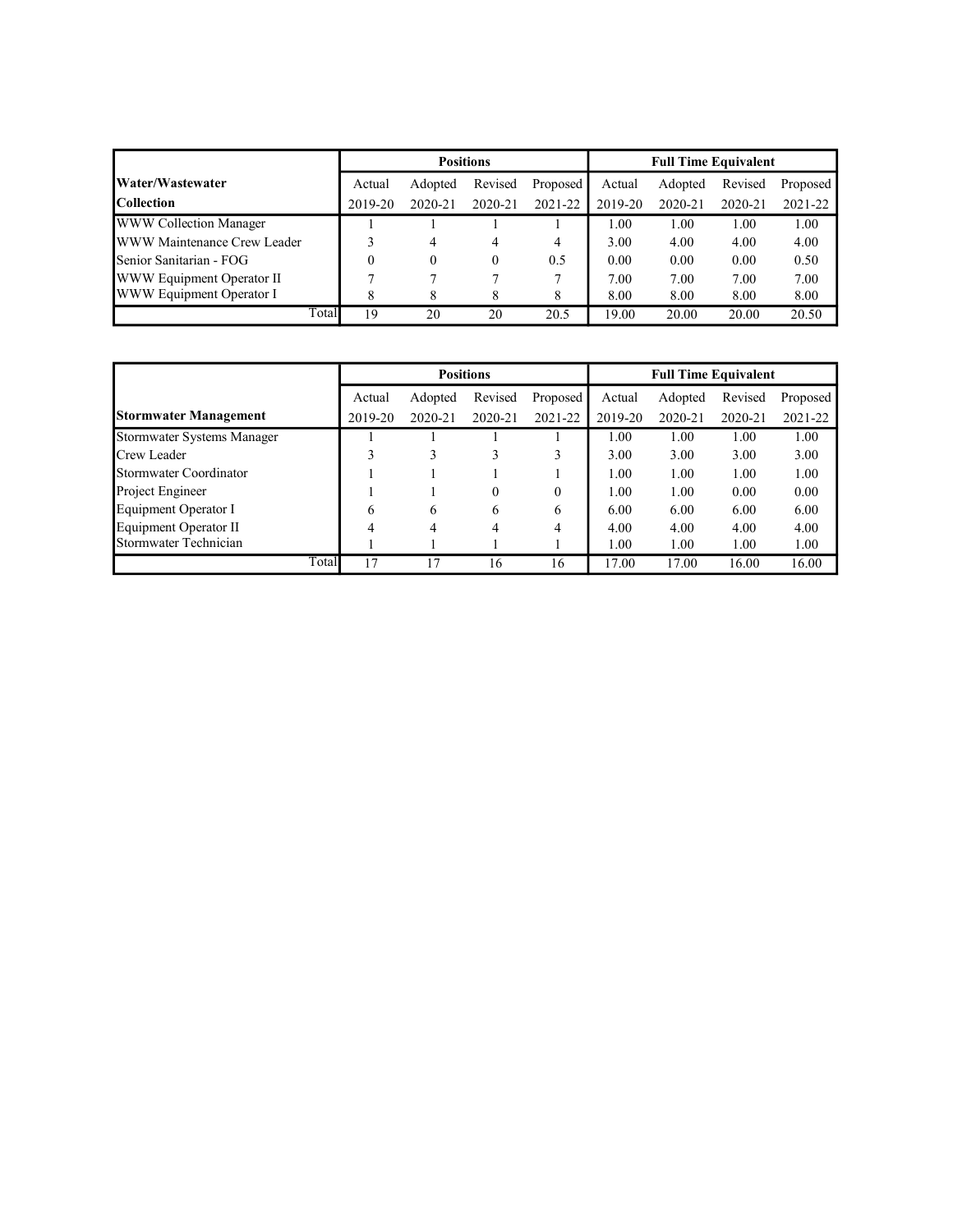|                               |         | <b>Positions</b> |             |          | <b>Full Time Equivalent</b> |         |             |          |  |
|-------------------------------|---------|------------------|-------------|----------|-----------------------------|---------|-------------|----------|--|
| Water/Wastewater              | Actual  | Adopted          | Revised     | Proposed | Actual                      | Adopted | Revised     | Proposed |  |
| <b>Collection</b>             | 2019-20 | 2020-21          | $2020 - 21$ | 2021-22  | 2019-20                     | 2020-21 | $2020 - 21$ | 2021-22  |  |
| <b>WWW Collection Manager</b> |         |                  |             |          | 1.00                        | 1.00    | 1.00        | 1.00     |  |
| WWW Maintenance Crew Leader   |         | 4                | 4           | 4        | 3.00                        | 4.00    | 4.00        | 4.00     |  |
| Senior Sanitarian - FOG       | 0       |                  | $^{(1)}$    | 0.5      | 0.00                        | 0.00    | 0.00        | 0.50     |  |
| WWW Equipment Operator II     |         |                  |             |          | 7.00                        | 7.00    | 7.00        | 7.00     |  |
| WWW Equipment Operator I      | 8       | 8                |             | 8        | 8.00                        | 8.00    | 8.00        | 8.00     |  |
| Total                         | 19      | 20               | 20          | 20.5     | 19.00                       | 20.00   | 20.00       | 20.50    |  |

|                              |         |         | <b>Positions</b> |          |         | <b>Full Time Equivalent</b> |             |          |
|------------------------------|---------|---------|------------------|----------|---------|-----------------------------|-------------|----------|
|                              | Actual  | Adopted | Revised          | Proposed | Actual  | Adopted                     | Revised     | Proposed |
| <b>Stormwater Management</b> | 2019-20 | 2020-21 | 2020-21          | 2021-22  | 2019-20 | $2020 - 21$                 | $2020 - 21$ | 2021-22  |
| Stormwater Systems Manager   |         |         |                  |          | 1.00    | 1.00                        | 1.00        | 1.00     |
| Crew Leader                  |         |         |                  | 3        | 3.00    | 3.00                        | 3.00        | 3.00     |
| Stormwater Coordinator       |         |         |                  |          | 1.00    | 1.00                        | 1.00        | 1.00     |
| Project Engineer             |         |         | 0                | $\Omega$ | 1.00    | 1.00                        | 0.00        | 0.00     |
| Equipment Operator I         | 6       | 6       | 6                | 6        | 6.00    | 6.00                        | 6.00        | 6.00     |
| Equipment Operator II        | 4       | 4       | 4                | 4        | 4.00    | 4.00                        | 4.00        | 4.00     |
| Stormwater Technician        |         |         |                  |          | 1.00    | 1.00                        | 1.00        | 1.00     |
| Total                        | 17      | 17      | 16               | 16       | 17.00   | 17.00                       | 16.00       | 16.00    |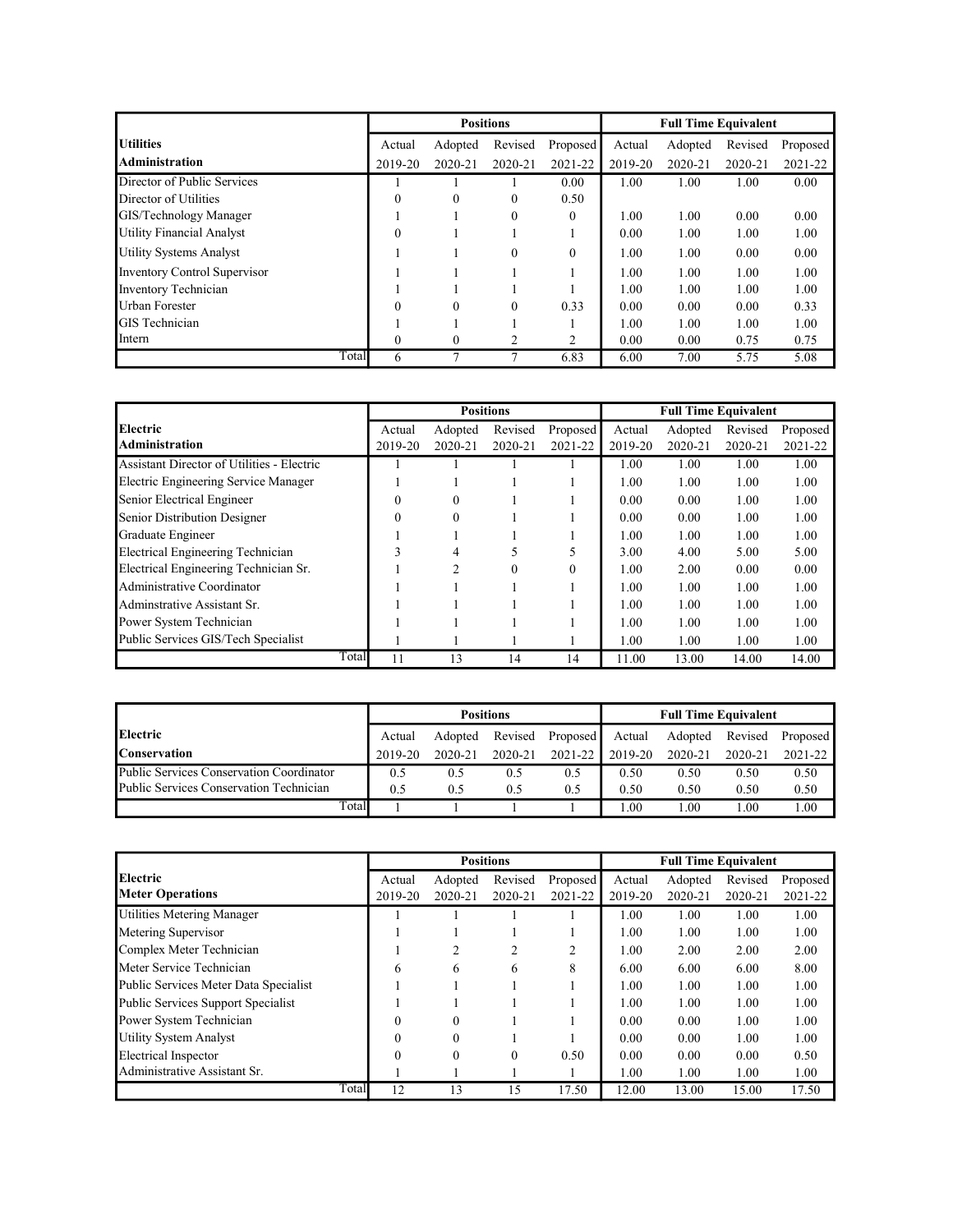|                                     |          |          | <b>Positions</b> |              |         | <b>Full Time Equivalent</b> |         |          |
|-------------------------------------|----------|----------|------------------|--------------|---------|-----------------------------|---------|----------|
| <b>Utilities</b>                    | Actual   | Adopted  | Revised          | Proposed     | Actual  | Adopted                     | Revised | Proposed |
| <b>Administration</b>               | 2019-20  | 2020-21  | 2020-21          | 2021-22      | 2019-20 | 2020-21                     | 2020-21 | 2021-22  |
| Director of Public Services         |          |          |                  | 0.00         | 1.00    | 1.00                        | 1.00    | 0.00     |
| Director of Utilities               | $\theta$ | $\theta$ | $\Omega$         | 0.50         |         |                             |         |          |
| GIS/Technology Manager              |          |          | $\Omega$         | $\mathbf{0}$ | 1.00    | 1.00                        | 0.00    | 0.00     |
| Utility Financial Analyst           | $\theta$ |          |                  |              | 0.00    | 1.00                        | 1.00    | 1.00     |
| Utility Systems Analyst             |          |          | $\Omega$         | $\mathbf{0}$ | 1.00    | 1.00                        | 0.00    | 0.00     |
| <b>Inventory Control Supervisor</b> |          |          |                  |              | 1.00    | 1.00                        | 1.00    | 1.00     |
| Inventory Technician                |          |          |                  |              | 1.00    | 1.00                        | 1.00    | 1.00     |
| Urban Forester                      | $\theta$ | $\theta$ | $\Omega$         | 0.33         | 0.00    | 0.00                        | 0.00    | 0.33     |
| <b>GIS</b> Technician               |          |          |                  |              | 1.00    | 1.00                        | 1.00    | 1.00     |
| Intern                              | $\theta$ | $\Omega$ | $\overline{2}$   | 2            | 0.00    | 0.00                        | 0.75    | 0.75     |
| Total                               | 6        | ┑        |                  | 6.83         | 6.00    | 7.00                        | 5.75    | 5.08     |

|                                            |          |          | <b>Positions</b> |          |         | <b>Full Time Equivalent</b> |         |          |
|--------------------------------------------|----------|----------|------------------|----------|---------|-----------------------------|---------|----------|
| <b>Electric</b>                            | Actual   | Adopted  | Revised          | Proposed | Actual  | Adopted                     | Revised | Proposed |
| Administration                             | 2019-20  | 2020-21  | 2020-21          | 2021-22  | 2019-20 | 2020-21                     | 2020-21 | 2021-22  |
| Assistant Director of Utilities - Electric |          |          |                  |          | 1.00    | 1.00                        | 1.00    | 1.00     |
| Electric Engineering Service Manager       |          |          |                  |          | 1.00    | 1.00                        | 1.00    | 1.00     |
| Senior Electrical Engineer                 | $\Omega$ | $\theta$ |                  |          | 0.00    | 0.00                        | 1.00    | 1.00     |
| Senior Distribution Designer               | $\Omega$ | $\theta$ |                  |          | 0.00    | 0.00                        | 1.00    | 1.00     |
| Graduate Engineer                          |          |          |                  |          | 1.00    | 1.00                        | 1.00    | 1.00     |
| Electrical Engineering Technician          | ζ        | 4        |                  |          | 3.00    | 4.00                        | 5.00    | 5.00     |
| Electrical Engineering Technician Sr.      |          | C        |                  | $\theta$ | 1.00    | 2.00                        | 0.00    | 0.00     |
| Administrative Coordinator                 |          |          |                  |          | 1.00    | 1.00                        | 1.00    | 1.00     |
| Adminstrative Assistant Sr.                |          |          |                  |          | 1.00    | 1.00                        | 1.00    | 1.00     |
| Power System Technician                    |          |          |                  |          | 1.00    | 1.00                        | 1.00    | 1.00     |
| Public Services GIS/Tech Specialist        |          |          |                  |          | 1.00    | 1.00                        | 1.00    | 1.00     |
| Total                                      | 11       | 13       | 14               | 14       | 11.00   | 13.00                       | 14.00   | 14.00    |

|                                          |         |         | <b>Positions</b> |          | <b>Full Time Equivalent</b> |                 |         |             |
|------------------------------------------|---------|---------|------------------|----------|-----------------------------|-----------------|---------|-------------|
| <b>Electric</b>                          | Actual  | Adopted | Revised          | Proposed | Actual                      | Adopted Revised |         | Proposed    |
| <b>Conservation</b>                      | 2019-20 | 2020-21 | $2020 - 21$      | 2021-22  | 2019-20                     | 2020-21         | 2020-21 | $2021 - 22$ |
| Public Services Conservation Coordinator | 0.5     | 0.5     | 0.5              | 0.5      | 0.50                        | 0.50            | 0.50    | 0.50        |
| Public Services Conservation Technician  | 0.5     | 0.5     | 0.5              | 0.5      | 0.50                        | 0.50            | 0.50    | 0.50        |
| Total                                    |         |         |                  |          | 0.01                        | $1.00\,$        | 1.00    | 1.00        |

|                                       |          |          | <b>Positions</b> |          | <b>Full Time Equivalent</b> |         |         |          |
|---------------------------------------|----------|----------|------------------|----------|-----------------------------|---------|---------|----------|
| Electric                              | Actual   | Adopted  | Revised          | Proposed | Actual                      | Adopted | Revised | Proposed |
| <b>Meter Operations</b>               | 2019-20  | 2020-21  | 2020-21          | 2021-22  | 2019-20                     | 2020-21 | 2020-21 | 2021-22  |
| Utilities Metering Manager            |          |          |                  |          | 1.00                        | 1.00    | 1.00    | 1.00     |
| Metering Supervisor                   |          |          |                  |          | 1.00                        | 1.00    | 1.00    | 1.00     |
| Complex Meter Technician              |          |          |                  | 2        | 1.00                        | 2.00    | 2.00    | 2.00     |
| Meter Service Technician              | 6        | 6        | 6                | 8        | 6.00                        | 6.00    | 6.00    | 8.00     |
| Public Services Meter Data Specialist |          |          |                  |          | 1.00                        | 1.00    | 1.00    | 1.00     |
| Public Services Support Specialist    |          |          |                  |          | 1.00                        | 1.00    | 1.00    | 1.00     |
| Power System Technician               | $\Omega$ | $\Omega$ |                  |          | 0.00                        | 0.00    | 1.00    | 1.00     |
| Utility System Analyst                | $\Omega$ | $\theta$ |                  |          | 0.00                        | 0.00    | 1.00    | 1.00     |
| Electrical Inspector                  | $\Omega$ | $\Omega$ | $\Omega$         | 0.50     | 0.00                        | 0.00    | 0.00    | 0.50     |
| Administrative Assistant Sr.          |          |          |                  |          | 1.00                        | 1.00    | 1.00    | 1.00     |
| Total                                 | 12       | 13       | 15               | 17.50    | 12.00                       | 13.00   | 15.00   | 17.50    |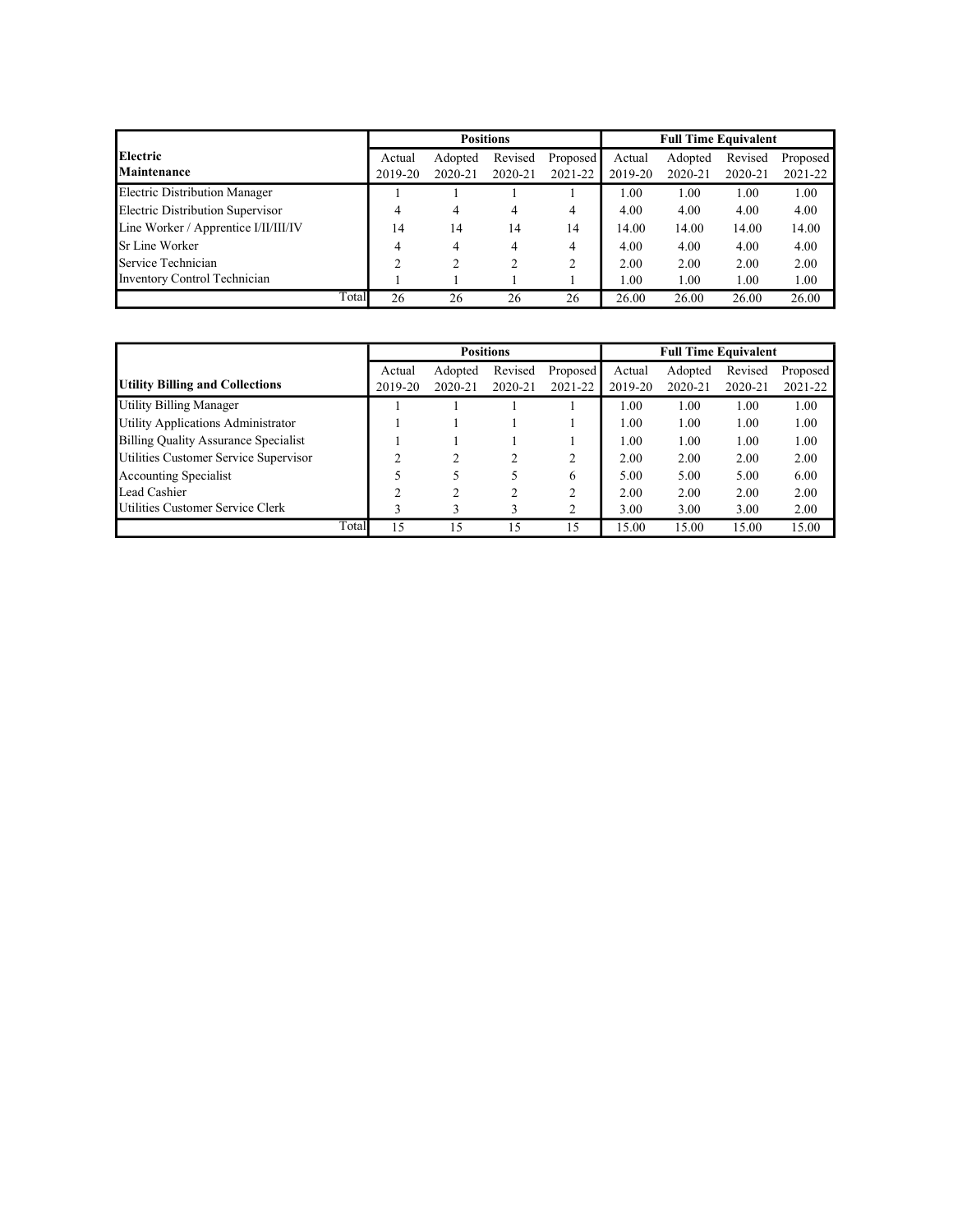|                                      |         |         | <b>Positions</b> |                |         | <b>Full Time Equivalent</b> |         |          |
|--------------------------------------|---------|---------|------------------|----------------|---------|-----------------------------|---------|----------|
| <b>Electric</b>                      | Actual  | Adopted | Revised          | Proposed       | Actual  | Adopted                     | Revised | Proposed |
| <b>Maintenance</b>                   | 2019-20 | 2020-21 | 2020-21          | 2021-22        | 2019-20 | 2020-21                     | 2020-21 | 2021-22  |
| Electric Distribution Manager        |         |         |                  |                | 1.00    | 1.00                        | 1.00    | 1.00     |
| Electric Distribution Supervisor     | 4       | 4       | 4                | 4              | 4.00    | 4.00                        | 4.00    | 4.00     |
| Line Worker / Apprentice I/II/III/IV | 14      | 14      | 14               | 14             | 14.00   | 14.00                       | 14.00   | 14.00    |
| <b>Sr Line Worker</b>                | 4       | 4       | 4                | 4              | 4.00    | 4.00                        | 4.00    | 4.00     |
| Service Technician                   | 2       | 2       |                  | $\overline{c}$ | 2.00    | 2.00                        | 2.00    | 2.00     |
| Inventory Control Technician         |         |         |                  |                | 1.00    | 1.00                        | 1.00    | 1.00     |
| Total                                | 26      | 26      | 26               | 26             | 26.00   | 26.00                       | 26.00   | 26.00    |

|                                        |         |         | <b>Positions</b> |                |         | <b>Full Time Equivalent</b> |         |          |
|----------------------------------------|---------|---------|------------------|----------------|---------|-----------------------------|---------|----------|
|                                        | Actual  | Adopted | Revised          | Proposed       | Actual  | Adopted                     | Revised | Proposed |
| <b>Utility Billing and Collections</b> | 2019-20 | 2020-21 | 2020-21          | 2021-22        | 2019-20 | $2020 - 21$                 | 2020-21 | 2021-22  |
| Utility Billing Manager                |         |         |                  |                | 1.00    | 1.00                        | 1.00    | 1.00     |
| Utility Applications Administrator     |         |         |                  |                | 1.00    | 1.00                        | 1.00    | 1.00     |
| Billing Quality Assurance Specialist   |         |         |                  |                | 1.00    | 1.00                        | 1.00    | 1.00     |
| Utilities Customer Service Supervisor  | ◠       | ∍       |                  | 2              | 2.00    | 2.00                        | 2.00    | 2.00     |
| Accounting Specialist                  |         |         |                  | 6              | 5.00    | 5.00                        | 5.00    | 6.00     |
| Lead Cashier                           | ↑       | າ       |                  | ↑              | 2.00    | 2.00                        | 2.00    | 2.00     |
| Utilities Customer Service Clerk       |         | 3       | 3                | $\overline{c}$ | 3.00    | 3.00                        | 3.00    | 2.00     |
| Total                                  | 15      | 15      | 15               | 15             | 15.00   | 15.00                       | 15.00   | 15.00    |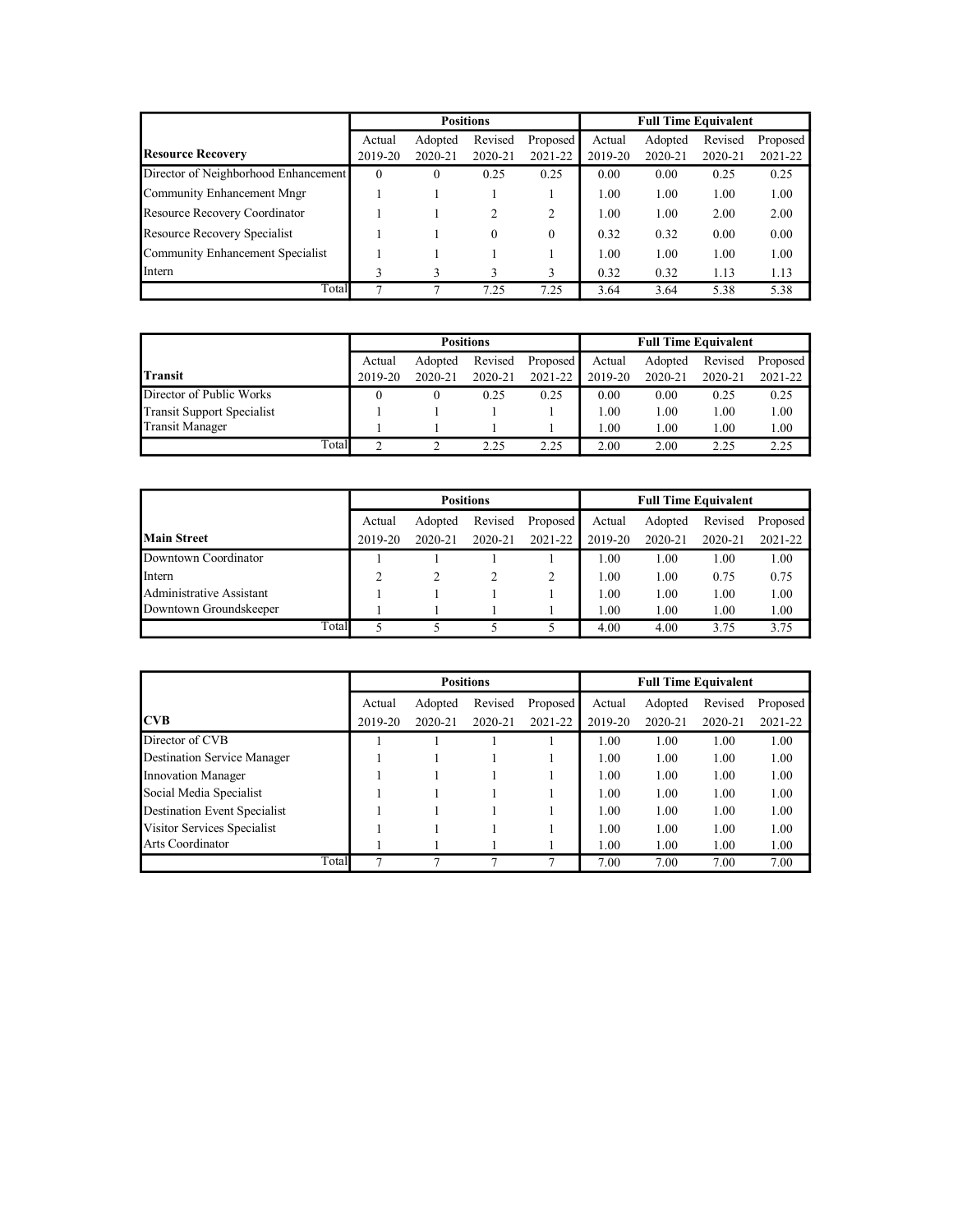|                                      |          |          | <b>Positions</b> |          |         | <b>Full Time Equivalent</b> |         |          |
|--------------------------------------|----------|----------|------------------|----------|---------|-----------------------------|---------|----------|
|                                      | Actual   | Adopted  | Revised          | Proposed | Actual  | Adopted                     | Revised | Proposed |
| <b>Resource Recovery</b>             | 2019-20  | 2020-21  | 2020-21          | 2021-22  | 2019-20 | 2020-21                     | 2020-21 | 2021-22  |
| Director of Neighborhood Enhancement | $\theta$ | $\theta$ | 0.25             | 0.25     | 0.00    | 0.00                        | 0.25    | 0.25     |
| Community Enhancement Mngr           |          |          |                  |          | 1.00    | 1.00                        | 1.00    | 1.00     |
| Resource Recovery Coordinator        |          |          |                  | 2        | 1.00    | 1.00                        | 2.00    | 2.00     |
| Resource Recovery Specialist         |          |          | $\theta$         | $\Omega$ | 0.32    | 0.32                        | 0.00    | 0.00     |
| Community Enhancement Specialist     |          |          |                  |          | 1.00    | 1.00                        | 1.00    | 1.00     |
| Intern                               | 3        |          |                  | 3        | 0.32    | 0.32                        | 1.13    | 1.13     |
| Total                                | 7        |          | 7.25             | 7.25     | 3.64    | 3.64                        | 5.38    | 5.38     |

|                            | <b>Positions</b> |         |         |          | <b>Full Time Equivalent</b> |         |         |          |  |  |
|----------------------------|------------------|---------|---------|----------|-----------------------------|---------|---------|----------|--|--|
|                            | Actual           | Adopted | Revised | Proposed | Actual                      | Adopted | Revised | Proposed |  |  |
| <b>Transit</b>             | 2019-20          | 2020-21 | 2020-21 | 2021-22  | 2019-20                     | 2020-21 | 2020-21 | 2021-22  |  |  |
| Director of Public Works   |                  |         | 0.25    | 0.25     | 0.00                        | 0.00    | 0.25    | 0.25     |  |  |
| Transit Support Specialist |                  |         |         |          | 1.00                        | 1.00    | 1.00    | 00.1     |  |  |
| <b>Transit Manager</b>     |                  |         |         |          | .00                         | 1.00    | 1.00    | 00.1     |  |  |
| Total                      | $\sim$           |         | 2.25    | 2.25     | 2.00                        | 2.00    | 2.25    | 2.25     |  |  |

|                          |         |         | <b>Positions</b> |          | <b>Full Time Equivalent</b> |         |         |          |  |  |
|--------------------------|---------|---------|------------------|----------|-----------------------------|---------|---------|----------|--|--|
|                          | Actual  | Adopted | Revised          | Proposed | Actual                      | Adopted | Revised | Proposed |  |  |
| <b>Main Street</b>       | 2019-20 | 2020-21 | 2020-21          | 2021-22  | 2019-20                     | 2020-21 | 2020-21 | 2021-22  |  |  |
| Downtown Coordinator     |         |         |                  |          | $1.00\,$                    | 1.00    | 1.00    | 1.00     |  |  |
| Intern                   |         |         |                  |          | 1.00                        | 1.00    | 0.75    | 0.75     |  |  |
| Administrative Assistant |         |         |                  |          | 1.00                        | 1.00    | 1.00    | 1.00     |  |  |
| Downtown Groundskeeper   |         |         |                  |          | $1.00\,$                    | 1.00    | 1.00    | 1.00     |  |  |
| Total                    |         |         |                  |          | 4.00                        | 4.00    | 3.75    | 3.75     |  |  |

|                                     |       |         |         | <b>Positions</b> |          |         | <b>Full Time Equivalent</b> |         |          |
|-------------------------------------|-------|---------|---------|------------------|----------|---------|-----------------------------|---------|----------|
|                                     |       | Actual  | Adopted | Revised          | Proposed | Actual  | Adopted                     | Revised | Proposed |
| <b>ICVB</b>                         |       | 2019-20 | 2020-21 | 2020-21          | 2021-22  | 2019-20 | 2020-21                     | 2020-21 | 2021-22  |
| Director of CVB                     |       |         |         |                  |          | 1.00    | 1.00                        | 1.00    | 1.00     |
| <b>Destination Service Manager</b>  |       |         |         |                  |          | 1.00    | 1.00                        | 1.00    | 1.00     |
| Innovation Manager                  |       |         |         |                  |          | 1.00    | 1.00                        | 1.00    | 1.00     |
| Social Media Specialist             |       |         |         |                  |          | 1.00    | 1.00                        | 1.00    | 1.00     |
| <b>Destination Event Specialist</b> |       |         |         |                  |          | 1.00    | 1.00                        | 1.00    | 1.00     |
| Visitor Services Specialist         |       |         |         |                  |          | 1.00    | 1.00                        | 1.00    | 1.00     |
| Arts Coordinator                    |       |         |         |                  |          | 1.00    | 1.00                        | 1.00    | 1.00     |
|                                     | Total |         |         |                  |          | 7.00    | 7.00                        | 7.00    | 7.00     |